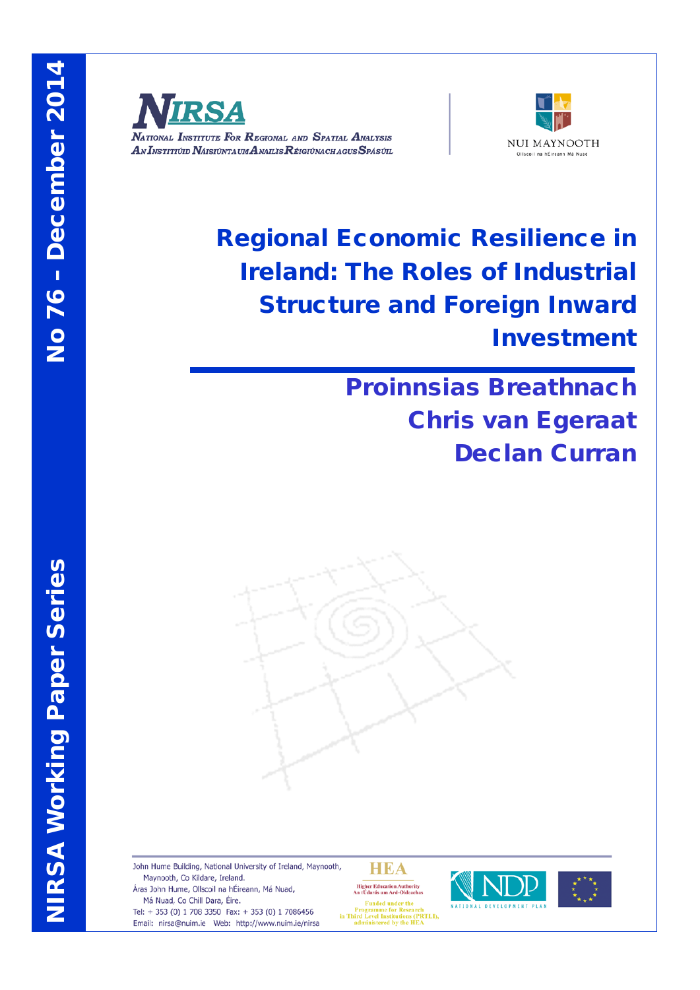

NATIONAL INSTITUTE FOR REGIONAL AND SPATIAL ANALYSIS AN INSTITIÚID NÁISIÚNTA UM ANAILIS RÉIGIÚNACH AGUS SPÁSÚIL



# Regional Economic Resilience in Ireland: The Roles of Industrial Structure and Foreign Inward Investment

Proinnsias Breathnach Chris van Egeraat Declan Curran



John Hume Building, National University of Ireland, Maynooth, Maynooth, Co Kildare, Ireland. Áras John Hume, Ollscoil na hÉireann, Má Nuad, Má Nuad, Co Chill Dara, Éire.

Tel: + 353 (0) 1 708 3350 Fax: + 353 (0) 1 7086456 Email: nirsa@nuim.ie Web: http://www.nuim.ie/nirsa

**HEA** Higher Education Authority<br>An tÚdarás um Ard-Oideachas



Frogramme for Research<br>in Third Level Institutions (PRTLI),<br>administered by the HEA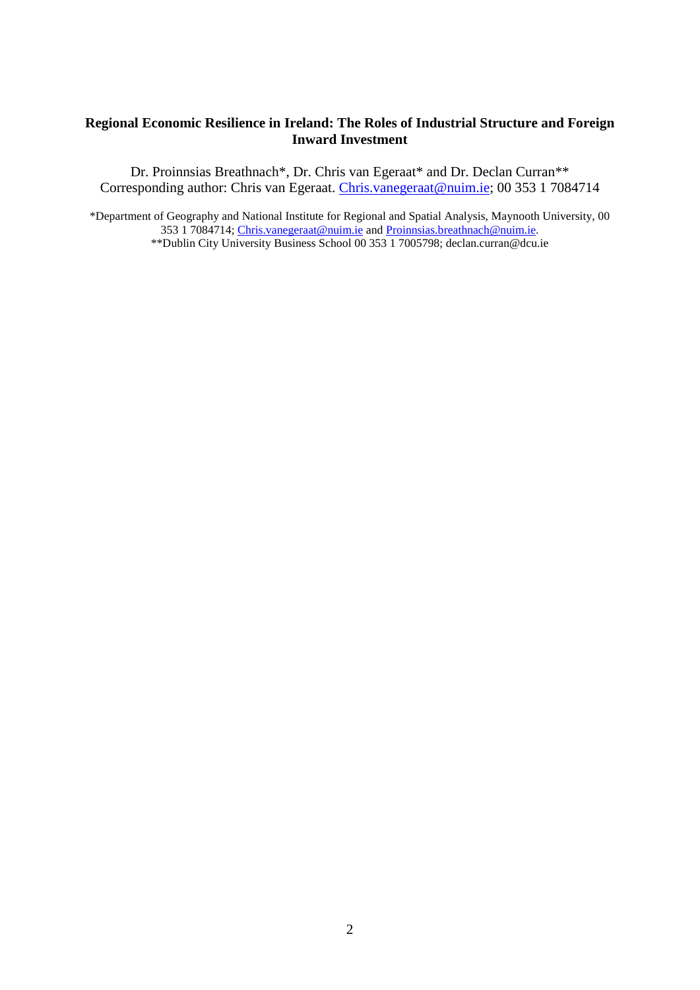# **Regional Economic Resilience in Ireland: The Roles of Industrial Structure and Foreign Inward Investment**

Dr. Proinnsias Breathnach\*, Dr. Chris van Egeraat\* and Dr. Declan Curran\*\* Corresponding author: Chris van Egeraat. [Chris.vanegeraat@nuim.ie;](mailto:Chris.vanegeraat@nuim.ie) 00 353 1 7084714

\*Department of Geography and National Institute for Regional and Spatial Analysis, Maynooth University, 00 353 1 7084714; [Chris.vanegeraat@nuim.ie](mailto:Chris.vanegeraat@nuim.ie) and [Proinnsias.breathnach@nuim.ie.](mailto:Proinnsias.breathnach@nuim.ie) \*\*Dublin City University Business School 00 353 1 7005798; declan.curran@dcu.ie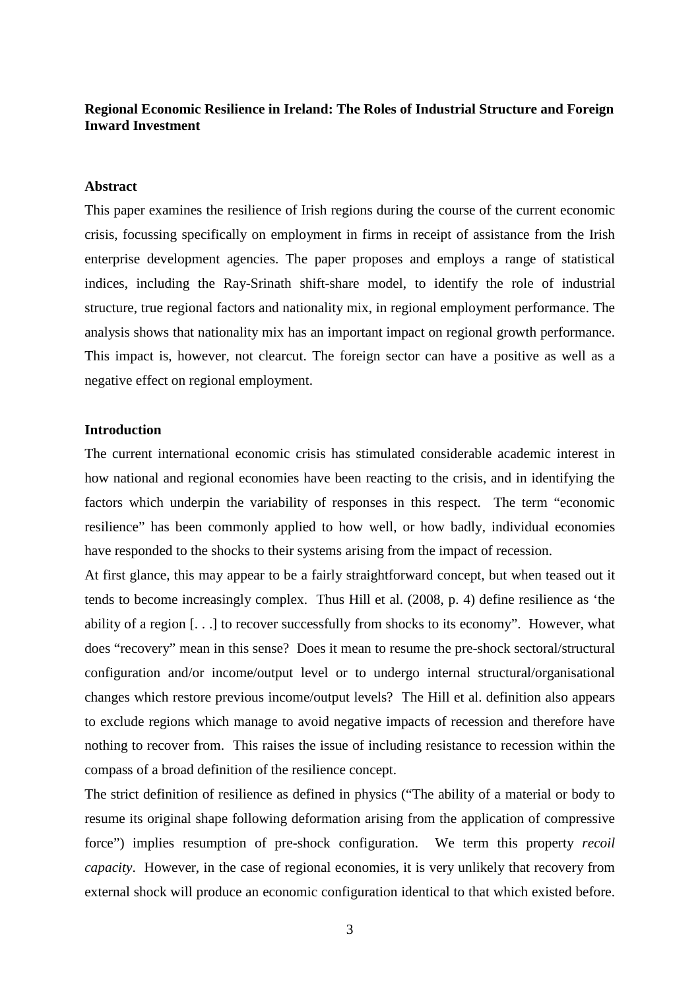# **Regional Economic Resilience in Ireland: The Roles of Industrial Structure and Foreign Inward Investment**

## **Abstract**

This paper examines the resilience of Irish regions during the course of the current economic crisis, focussing specifically on employment in firms in receipt of assistance from the Irish enterprise development agencies. The paper proposes and employs a range of statistical indices, including the Ray-Srinath shift-share model, to identify the role of industrial structure, true regional factors and nationality mix, in regional employment performance. The analysis shows that nationality mix has an important impact on regional growth performance. This impact is, however, not clearcut. The foreign sector can have a positive as well as a negative effect on regional employment.

#### **Introduction**

The current international economic crisis has stimulated considerable academic interest in how national and regional economies have been reacting to the crisis, and in identifying the factors which underpin the variability of responses in this respect. The term "economic resilience" has been commonly applied to how well, or how badly, individual economies have responded to the shocks to their systems arising from the impact of recession.

At first glance, this may appear to be a fairly straightforward concept, but when teased out it tends to become increasingly complex. Thus Hill et al. (2008, p. 4) define resilience as 'the ability of a region [. . .] to recover successfully from shocks to its economy". However, what does "recovery" mean in this sense? Does it mean to resume the pre-shock sectoral/structural configuration and/or income/output level or to undergo internal structural/organisational changes which restore previous income/output levels? The Hill et al. definition also appears to exclude regions which manage to avoid negative impacts of recession and therefore have nothing to recover from. This raises the issue of including resistance to recession within the compass of a broad definition of the resilience concept.

The strict definition of resilience as defined in physics ("The ability of a material or body to resume its original shape following deformation arising from the application of compressive force") implies resumption of pre-shock configuration. We term this property *recoil capacity*. However, in the case of regional economies, it is very unlikely that recovery from external shock will produce an economic configuration identical to that which existed before.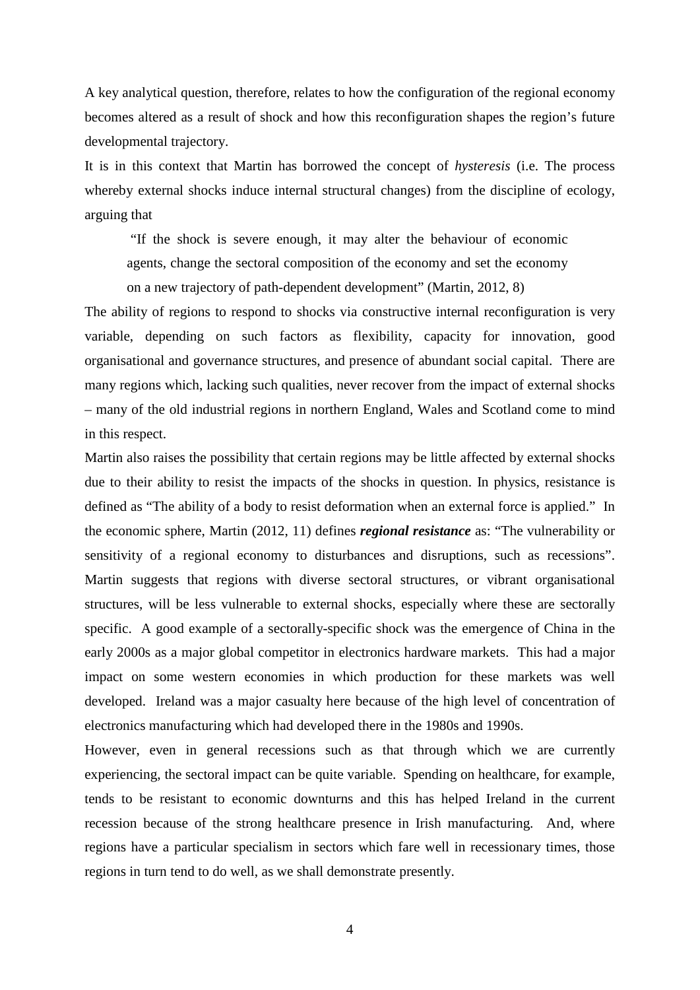A key analytical question, therefore, relates to how the configuration of the regional economy becomes altered as a result of shock and how this reconfiguration shapes the region's future developmental trajectory.

It is in this context that Martin has borrowed the concept of *hysteresis* (i.e. The process whereby external shocks induce internal structural changes) from the discipline of ecology, arguing that

"If the shock is severe enough, it may alter the behaviour of economic agents, change the sectoral composition of the economy and set the economy on a new trajectory of path-dependent development" (Martin, 2012, 8)

The ability of regions to respond to shocks via constructive internal reconfiguration is very variable, depending on such factors as flexibility, capacity for innovation, good organisational and governance structures, and presence of abundant social capital. There are many regions which, lacking such qualities, never recover from the impact of external shocks

– many of the old industrial regions in northern England, Wales and Scotland come to mind in this respect.

Martin also raises the possibility that certain regions may be little affected by external shocks due to their ability to resist the impacts of the shocks in question. In physics, resistance is defined as "The ability of a body to resist deformation when an external force is applied." In the economic sphere, Martin (2012, 11) defines *regional resistance* as: "The vulnerability or sensitivity of a regional economy to disturbances and disruptions, such as recessions". Martin suggests that regions with diverse sectoral structures, or vibrant organisational structures, will be less vulnerable to external shocks, especially where these are sectorally specific. A good example of a sectorally-specific shock was the emergence of China in the early 2000s as a major global competitor in electronics hardware markets. This had a major impact on some western economies in which production for these markets was well developed. Ireland was a major casualty here because of the high level of concentration of electronics manufacturing which had developed there in the 1980s and 1990s.

However, even in general recessions such as that through which we are currently experiencing, the sectoral impact can be quite variable. Spending on healthcare, for example, tends to be resistant to economic downturns and this has helped Ireland in the current recession because of the strong healthcare presence in Irish manufacturing. And, where regions have a particular specialism in sectors which fare well in recessionary times, those regions in turn tend to do well, as we shall demonstrate presently.

4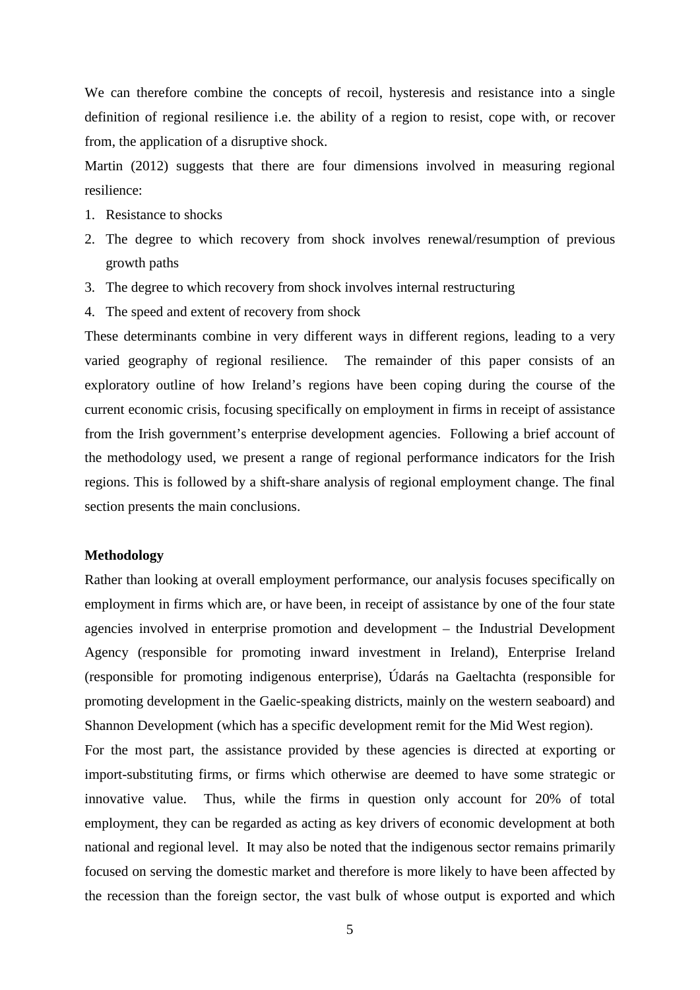We can therefore combine the concepts of recoil, hysteresis and resistance into a single definition of regional resilience i.e. the ability of a region to resist, cope with, or recover from, the application of a disruptive shock.

Martin (2012) suggests that there are four dimensions involved in measuring regional resilience:

- 1. Resistance to shocks
- 2. The degree to which recovery from shock involves renewal/resumption of previous growth paths
- 3. The degree to which recovery from shock involves internal restructuring
- 4. The speed and extent of recovery from shock

These determinants combine in very different ways in different regions, leading to a very varied geography of regional resilience. The remainder of this paper consists of an exploratory outline of how Ireland's regions have been coping during the course of the current economic crisis, focusing specifically on employment in firms in receipt of assistance from the Irish government's enterprise development agencies. Following a brief account of the methodology used, we present a range of regional performance indicators for the Irish regions. This is followed by a shift-share analysis of regional employment change. The final section presents the main conclusions.

#### **Methodology**

Rather than looking at overall employment performance, our analysis focuses specifically on employment in firms which are, or have been, in receipt of assistance by one of the four state agencies involved in enterprise promotion and development – the Industrial Development Agency (responsible for promoting inward investment in Ireland), Enterprise Ireland (responsible for promoting indigenous enterprise), Údarás na Gaeltachta (responsible for promoting development in the Gaelic-speaking districts, mainly on the western seaboard) and Shannon Development (which has a specific development remit for the Mid West region).

For the most part, the assistance provided by these agencies is directed at exporting or import-substituting firms, or firms which otherwise are deemed to have some strategic or innovative value. Thus, while the firms in question only account for 20% of total employment, they can be regarded as acting as key drivers of economic development at both national and regional level. It may also be noted that the indigenous sector remains primarily focused on serving the domestic market and therefore is more likely to have been affected by the recession than the foreign sector, the vast bulk of whose output is exported and which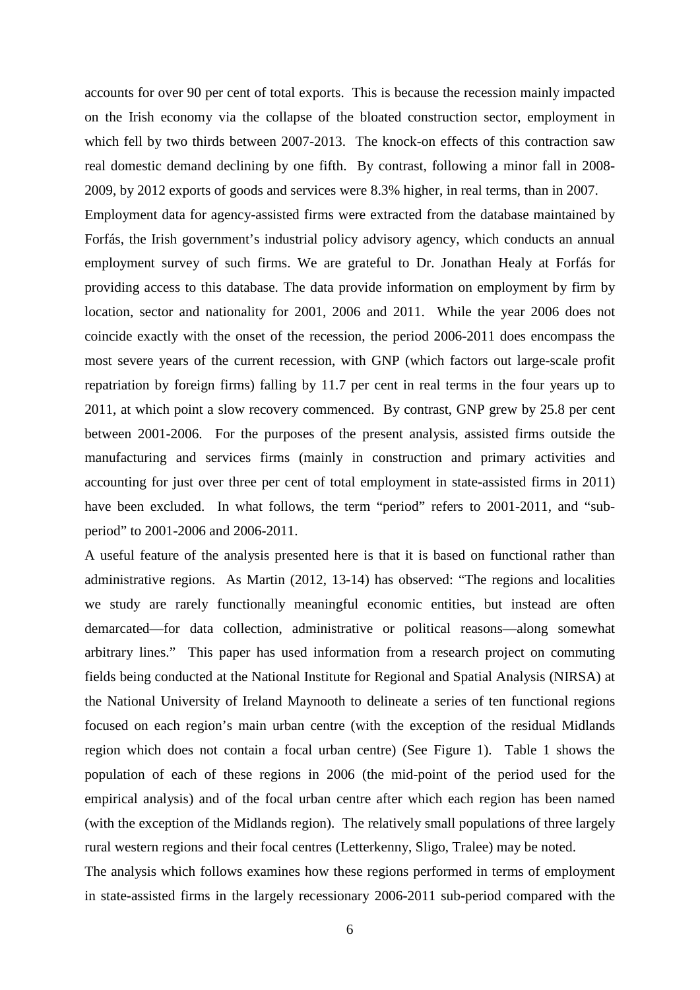accounts for over 90 per cent of total exports. This is because the recession mainly impacted on the Irish economy via the collapse of the bloated construction sector, employment in which fell by two thirds between 2007-2013. The knock-on effects of this contraction saw real domestic demand declining by one fifth. By contrast, following a minor fall in 2008- 2009, by 2012 exports of goods and services were 8.3% higher, in real terms, than in 2007.

Employment data for agency-assisted firms were extracted from the database maintained by Forfás, the Irish government's industrial policy advisory agency, which conducts an annual employment survey of such firms. We are grateful to Dr. Jonathan Healy at Forfás for providing access to this database. The data provide information on employment by firm by location, sector and nationality for 2001, 2006 and 2011. While the year 2006 does not coincide exactly with the onset of the recession, the period 2006-2011 does encompass the most severe years of the current recession, with GNP (which factors out large-scale profit repatriation by foreign firms) falling by 11.7 per cent in real terms in the four years up to 2011, at which point a slow recovery commenced. By contrast, GNP grew by 25.8 per cent between 2001-2006. For the purposes of the present analysis, assisted firms outside the manufacturing and services firms (mainly in construction and primary activities and accounting for just over three per cent of total employment in state-assisted firms in 2011) have been excluded. In what follows, the term "period" refers to 2001-2011, and "subperiod" to 2001-2006 and 2006-2011.

A useful feature of the analysis presented here is that it is based on functional rather than administrative regions. As Martin (2012, 13-14) has observed: "The regions and localities we study are rarely functionally meaningful economic entities, but instead are often demarcated—for data collection, administrative or political reasons—along somewhat arbitrary lines." This paper has used information from a research project on commuting fields being conducted at the National Institute for Regional and Spatial Analysis (NIRSA) at the National University of Ireland Maynooth to delineate a series of ten functional regions focused on each region's main urban centre (with the exception of the residual Midlands region which does not contain a focal urban centre) (See Figure 1). Table 1 shows the population of each of these regions in 2006 (the mid-point of the period used for the empirical analysis) and of the focal urban centre after which each region has been named (with the exception of the Midlands region). The relatively small populations of three largely rural western regions and their focal centres (Letterkenny, Sligo, Tralee) may be noted.

The analysis which follows examines how these regions performed in terms of employment in state-assisted firms in the largely recessionary 2006-2011 sub-period compared with the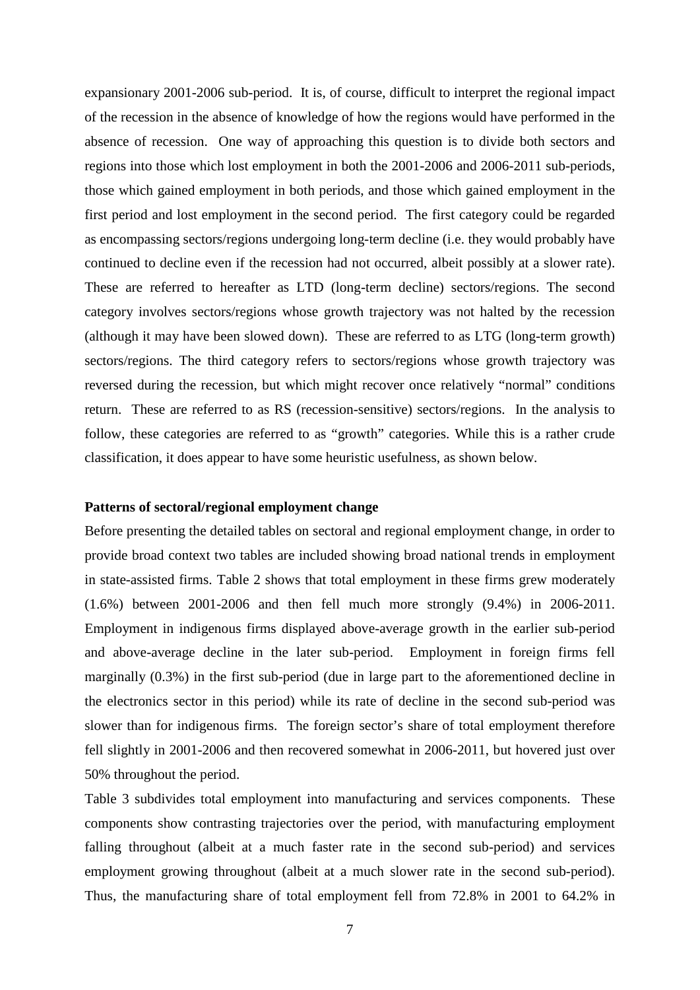expansionary 2001-2006 sub-period. It is, of course, difficult to interpret the regional impact of the recession in the absence of knowledge of how the regions would have performed in the absence of recession. One way of approaching this question is to divide both sectors and regions into those which lost employment in both the 2001-2006 and 2006-2011 sub-periods, those which gained employment in both periods, and those which gained employment in the first period and lost employment in the second period. The first category could be regarded as encompassing sectors/regions undergoing long-term decline (i.e. they would probably have continued to decline even if the recession had not occurred, albeit possibly at a slower rate). These are referred to hereafter as LTD (long-term decline) sectors/regions. The second category involves sectors/regions whose growth trajectory was not halted by the recession (although it may have been slowed down). These are referred to as LTG (long-term growth) sectors/regions. The third category refers to sectors/regions whose growth trajectory was reversed during the recession, but which might recover once relatively "normal" conditions return. These are referred to as RS (recession-sensitive) sectors/regions. In the analysis to follow, these categories are referred to as "growth" categories. While this is a rather crude classification, it does appear to have some heuristic usefulness, as shown below.

# **Patterns of sectoral/regional employment change**

Before presenting the detailed tables on sectoral and regional employment change, in order to provide broad context two tables are included showing broad national trends in employment in state-assisted firms. Table 2 shows that total employment in these firms grew moderately (1.6%) between 2001-2006 and then fell much more strongly (9.4%) in 2006-2011. Employment in indigenous firms displayed above-average growth in the earlier sub-period and above-average decline in the later sub-period. Employment in foreign firms fell marginally (0.3%) in the first sub-period (due in large part to the aforementioned decline in the electronics sector in this period) while its rate of decline in the second sub-period was slower than for indigenous firms. The foreign sector's share of total employment therefore fell slightly in 2001-2006 and then recovered somewhat in 2006-2011, but hovered just over 50% throughout the period.

Table 3 subdivides total employment into manufacturing and services components. These components show contrasting trajectories over the period, with manufacturing employment falling throughout (albeit at a much faster rate in the second sub-period) and services employment growing throughout (albeit at a much slower rate in the second sub-period). Thus, the manufacturing share of total employment fell from 72.8% in 2001 to 64.2% in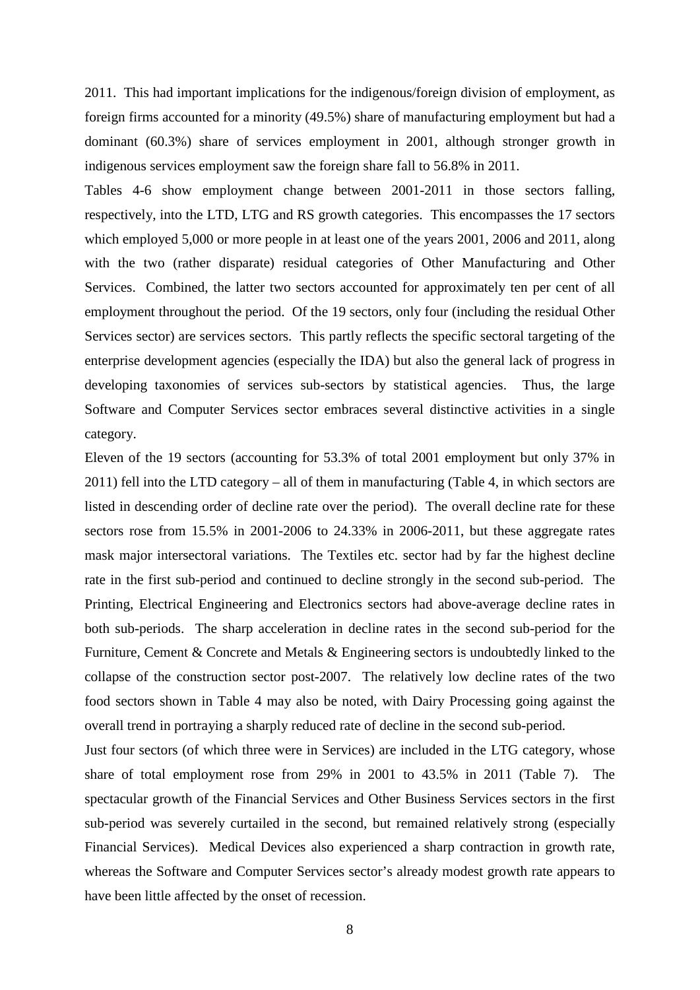2011. This had important implications for the indigenous/foreign division of employment, as foreign firms accounted for a minority (49.5%) share of manufacturing employment but had a dominant (60.3%) share of services employment in 2001, although stronger growth in indigenous services employment saw the foreign share fall to 56.8% in 2011.

Tables 4-6 show employment change between 2001-2011 in those sectors falling, respectively, into the LTD, LTG and RS growth categories. This encompasses the 17 sectors which employed 5,000 or more people in at least one of the years 2001, 2006 and 2011, along with the two (rather disparate) residual categories of Other Manufacturing and Other Services. Combined, the latter two sectors accounted for approximately ten per cent of all employment throughout the period. Of the 19 sectors, only four (including the residual Other Services sector) are services sectors. This partly reflects the specific sectoral targeting of the enterprise development agencies (especially the IDA) but also the general lack of progress in developing taxonomies of services sub-sectors by statistical agencies. Thus, the large Software and Computer Services sector embraces several distinctive activities in a single category.

Eleven of the 19 sectors (accounting for 53.3% of total 2001 employment but only 37% in 2011) fell into the LTD category – all of them in manufacturing (Table 4, in which sectors are listed in descending order of decline rate over the period). The overall decline rate for these sectors rose from 15.5% in 2001-2006 to 24.33% in 2006-2011, but these aggregate rates mask major intersectoral variations. The Textiles etc. sector had by far the highest decline rate in the first sub-period and continued to decline strongly in the second sub-period. The Printing, Electrical Engineering and Electronics sectors had above-average decline rates in both sub-periods. The sharp acceleration in decline rates in the second sub-period for the Furniture, Cement & Concrete and Metals & Engineering sectors is undoubtedly linked to the collapse of the construction sector post-2007. The relatively low decline rates of the two food sectors shown in Table 4 may also be noted, with Dairy Processing going against the overall trend in portraying a sharply reduced rate of decline in the second sub-period.

Just four sectors (of which three were in Services) are included in the LTG category, whose share of total employment rose from 29% in 2001 to 43.5% in 2011 (Table 7). The spectacular growth of the Financial Services and Other Business Services sectors in the first sub-period was severely curtailed in the second, but remained relatively strong (especially Financial Services). Medical Devices also experienced a sharp contraction in growth rate, whereas the Software and Computer Services sector's already modest growth rate appears to have been little affected by the onset of recession.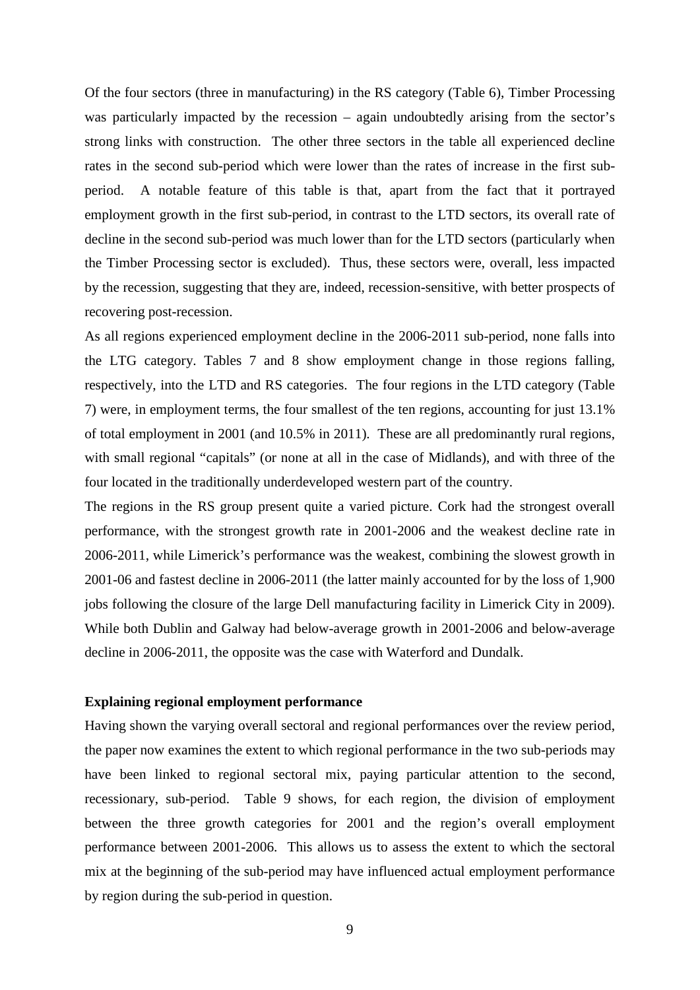Of the four sectors (three in manufacturing) in the RS category (Table 6), Timber Processing was particularly impacted by the recession – again undoubtedly arising from the sector's strong links with construction. The other three sectors in the table all experienced decline rates in the second sub-period which were lower than the rates of increase in the first subperiod. A notable feature of this table is that, apart from the fact that it portrayed employment growth in the first sub-period, in contrast to the LTD sectors, its overall rate of decline in the second sub-period was much lower than for the LTD sectors (particularly when the Timber Processing sector is excluded). Thus, these sectors were, overall, less impacted by the recession, suggesting that they are, indeed, recession-sensitive, with better prospects of recovering post-recession.

As all regions experienced employment decline in the 2006-2011 sub-period, none falls into the LTG category. Tables 7 and 8 show employment change in those regions falling, respectively, into the LTD and RS categories. The four regions in the LTD category (Table 7) were, in employment terms, the four smallest of the ten regions, accounting for just 13.1% of total employment in 2001 (and 10.5% in 2011). These are all predominantly rural regions, with small regional "capitals" (or none at all in the case of Midlands), and with three of the four located in the traditionally underdeveloped western part of the country.

The regions in the RS group present quite a varied picture. Cork had the strongest overall performance, with the strongest growth rate in 2001-2006 and the weakest decline rate in 2006-2011, while Limerick's performance was the weakest, combining the slowest growth in 2001-06 and fastest decline in 2006-2011 (the latter mainly accounted for by the loss of 1,900 jobs following the closure of the large Dell manufacturing facility in Limerick City in 2009). While both Dublin and Galway had below-average growth in 2001-2006 and below-average decline in 2006-2011, the opposite was the case with Waterford and Dundalk.

# **Explaining regional employment performance**

Having shown the varying overall sectoral and regional performances over the review period, the paper now examines the extent to which regional performance in the two sub-periods may have been linked to regional sectoral mix, paying particular attention to the second, recessionary, sub-period. Table 9 shows, for each region, the division of employment between the three growth categories for 2001 and the region's overall employment performance between 2001-2006. This allows us to assess the extent to which the sectoral mix at the beginning of the sub-period may have influenced actual employment performance by region during the sub-period in question.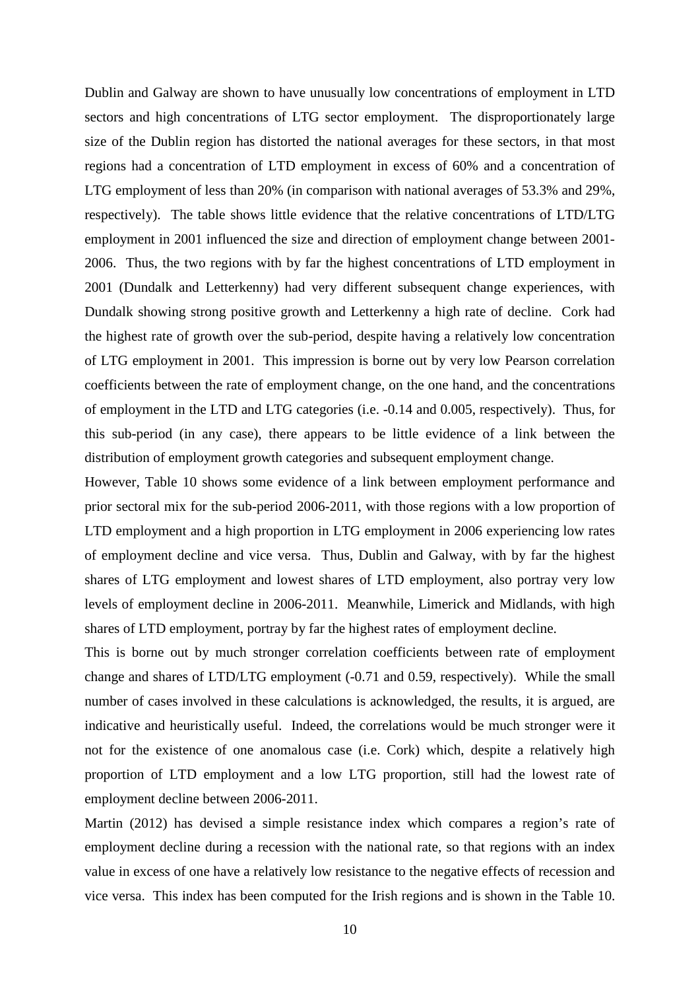Dublin and Galway are shown to have unusually low concentrations of employment in LTD sectors and high concentrations of LTG sector employment. The disproportionately large size of the Dublin region has distorted the national averages for these sectors, in that most regions had a concentration of LTD employment in excess of 60% and a concentration of LTG employment of less than 20% (in comparison with national averages of 53.3% and 29%, respectively). The table shows little evidence that the relative concentrations of LTD/LTG employment in 2001 influenced the size and direction of employment change between 2001- 2006. Thus, the two regions with by far the highest concentrations of LTD employment in 2001 (Dundalk and Letterkenny) had very different subsequent change experiences, with Dundalk showing strong positive growth and Letterkenny a high rate of decline. Cork had the highest rate of growth over the sub-period, despite having a relatively low concentration of LTG employment in 2001. This impression is borne out by very low Pearson correlation coefficients between the rate of employment change, on the one hand, and the concentrations of employment in the LTD and LTG categories (i.e. -0.14 and 0.005, respectively). Thus, for this sub-period (in any case), there appears to be little evidence of a link between the distribution of employment growth categories and subsequent employment change.

However, Table 10 shows some evidence of a link between employment performance and prior sectoral mix for the sub-period 2006-2011, with those regions with a low proportion of LTD employment and a high proportion in LTG employment in 2006 experiencing low rates of employment decline and vice versa. Thus, Dublin and Galway, with by far the highest shares of LTG employment and lowest shares of LTD employment, also portray very low levels of employment decline in 2006-2011. Meanwhile, Limerick and Midlands, with high shares of LTD employment, portray by far the highest rates of employment decline.

This is borne out by much stronger correlation coefficients between rate of employment change and shares of LTD/LTG employment (-0.71 and 0.59, respectively). While the small number of cases involved in these calculations is acknowledged, the results, it is argued, are indicative and heuristically useful. Indeed, the correlations would be much stronger were it not for the existence of one anomalous case (i.e. Cork) which, despite a relatively high proportion of LTD employment and a low LTG proportion, still had the lowest rate of employment decline between 2006-2011.

Martin (2012) has devised a simple resistance index which compares a region's rate of employment decline during a recession with the national rate, so that regions with an index value in excess of one have a relatively low resistance to the negative effects of recession and vice versa. This index has been computed for the Irish regions and is shown in the Table 10.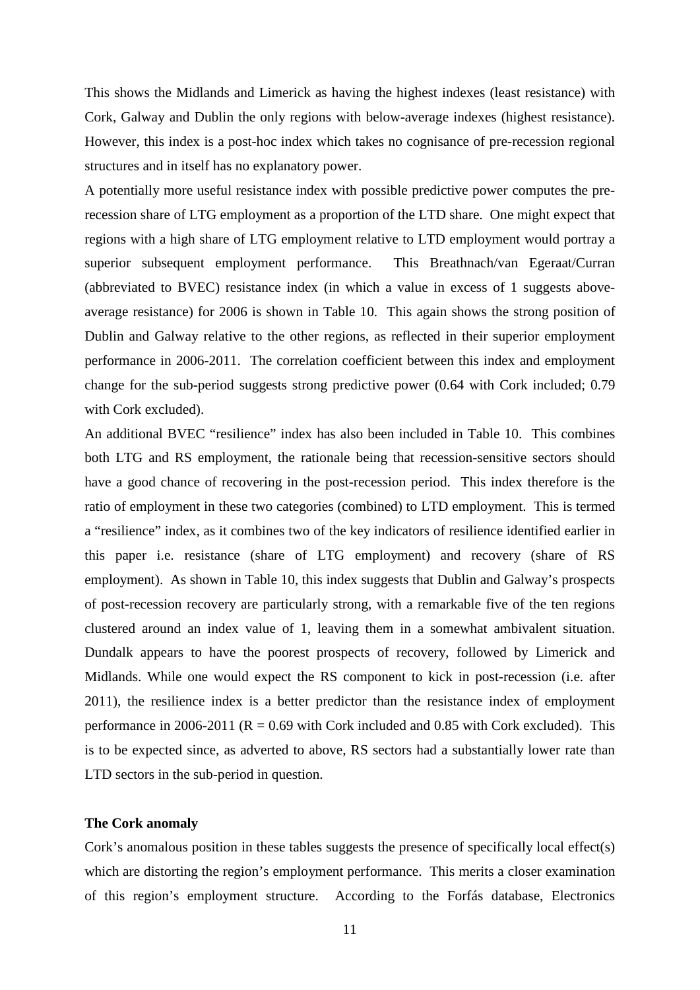This shows the Midlands and Limerick as having the highest indexes (least resistance) with Cork, Galway and Dublin the only regions with below-average indexes (highest resistance). However, this index is a post-hoc index which takes no cognisance of pre-recession regional structures and in itself has no explanatory power.

A potentially more useful resistance index with possible predictive power computes the prerecession share of LTG employment as a proportion of the LTD share. One might expect that regions with a high share of LTG employment relative to LTD employment would portray a superior subsequent employment performance. This Breathnach/van Egeraat/Curran (abbreviated to BVEC) resistance index (in which a value in excess of 1 suggests aboveaverage resistance) for 2006 is shown in Table 10. This again shows the strong position of Dublin and Galway relative to the other regions, as reflected in their superior employment performance in 2006-2011. The correlation coefficient between this index and employment change for the sub-period suggests strong predictive power (0.64 with Cork included; 0.79 with Cork excluded).

An additional BVEC "resilience" index has also been included in Table 10. This combines both LTG and RS employment, the rationale being that recession-sensitive sectors should have a good chance of recovering in the post-recession period. This index therefore is the ratio of employment in these two categories (combined) to LTD employment. This is termed a "resilience" index, as it combines two of the key indicators of resilience identified earlier in this paper i.e. resistance (share of LTG employment) and recovery (share of RS employment). As shown in Table 10, this index suggests that Dublin and Galway's prospects of post-recession recovery are particularly strong, with a remarkable five of the ten regions clustered around an index value of 1, leaving them in a somewhat ambivalent situation. Dundalk appears to have the poorest prospects of recovery, followed by Limerick and Midlands. While one would expect the RS component to kick in post-recession (i.e. after 2011), the resilience index is a better predictor than the resistance index of employment performance in 2006-2011 ( $R = 0.69$  with Cork included and 0.85 with Cork excluded). This is to be expected since, as adverted to above, RS sectors had a substantially lower rate than LTD sectors in the sub-period in question.

## **The Cork anomaly**

Cork's anomalous position in these tables suggests the presence of specifically local effect(s) which are distorting the region's employment performance. This merits a closer examination of this region's employment structure. According to the Forfás database, Electronics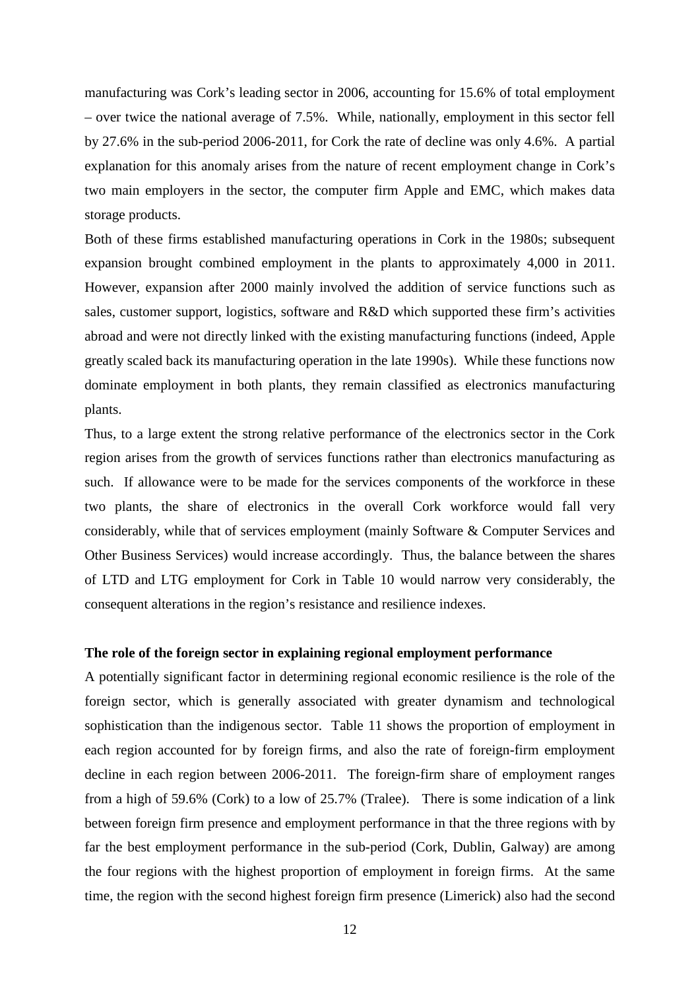manufacturing was Cork's leading sector in 2006, accounting for 15.6% of total employment – over twice the national average of 7.5%. While, nationally, employment in this sector fell by 27.6% in the sub-period 2006-2011, for Cork the rate of decline was only 4.6%. A partial explanation for this anomaly arises from the nature of recent employment change in Cork's two main employers in the sector, the computer firm Apple and EMC, which makes data storage products.

Both of these firms established manufacturing operations in Cork in the 1980s; subsequent expansion brought combined employment in the plants to approximately 4,000 in 2011. However, expansion after 2000 mainly involved the addition of service functions such as sales, customer support, logistics, software and R&D which supported these firm's activities abroad and were not directly linked with the existing manufacturing functions (indeed, Apple greatly scaled back its manufacturing operation in the late 1990s). While these functions now dominate employment in both plants, they remain classified as electronics manufacturing plants.

Thus, to a large extent the strong relative performance of the electronics sector in the Cork region arises from the growth of services functions rather than electronics manufacturing as such. If allowance were to be made for the services components of the workforce in these two plants, the share of electronics in the overall Cork workforce would fall very considerably, while that of services employment (mainly Software & Computer Services and Other Business Services) would increase accordingly. Thus, the balance between the shares of LTD and LTG employment for Cork in Table 10 would narrow very considerably, the consequent alterations in the region's resistance and resilience indexes.

#### **The role of the foreign sector in explaining regional employment performance**

A potentially significant factor in determining regional economic resilience is the role of the foreign sector, which is generally associated with greater dynamism and technological sophistication than the indigenous sector. Table 11 shows the proportion of employment in each region accounted for by foreign firms, and also the rate of foreign-firm employment decline in each region between 2006-2011. The foreign-firm share of employment ranges from a high of 59.6% (Cork) to a low of 25.7% (Tralee). There is some indication of a link between foreign firm presence and employment performance in that the three regions with by far the best employment performance in the sub-period (Cork, Dublin, Galway) are among the four regions with the highest proportion of employment in foreign firms. At the same time, the region with the second highest foreign firm presence (Limerick) also had the second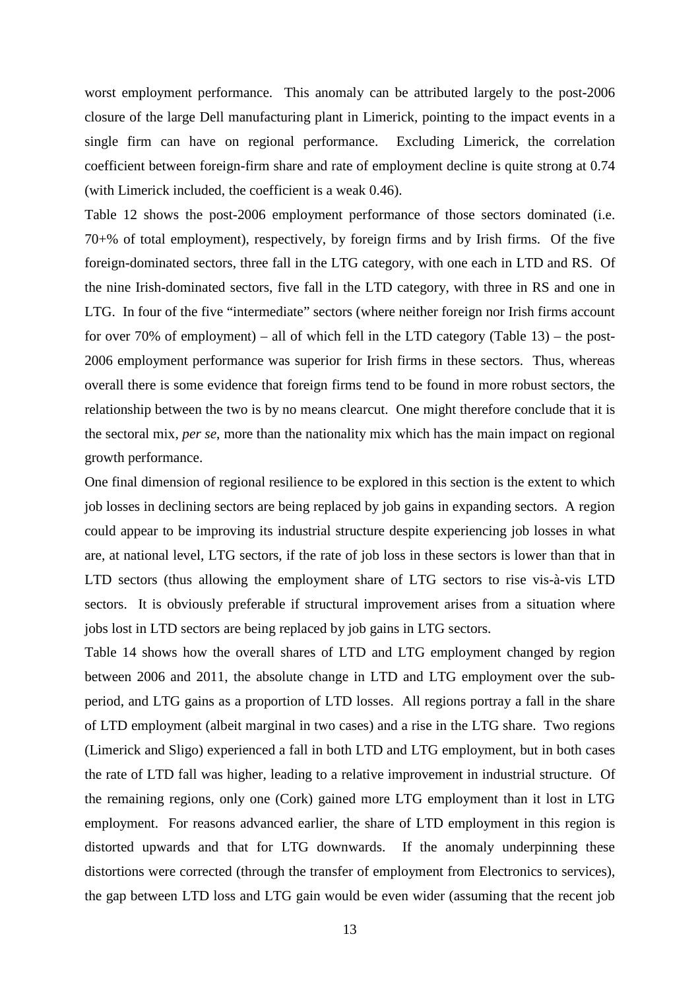worst employment performance. This anomaly can be attributed largely to the post-2006 closure of the large Dell manufacturing plant in Limerick, pointing to the impact events in a single firm can have on regional performance. Excluding Limerick, the correlation coefficient between foreign-firm share and rate of employment decline is quite strong at 0.74 (with Limerick included, the coefficient is a weak 0.46).

Table 12 shows the post-2006 employment performance of those sectors dominated (i.e. 70+% of total employment), respectively, by foreign firms and by Irish firms. Of the five foreign-dominated sectors, three fall in the LTG category, with one each in LTD and RS. Of the nine Irish-dominated sectors, five fall in the LTD category, with three in RS and one in LTG. In four of the five "intermediate" sectors (where neither foreign nor Irish firms account for over 70% of employment) – all of which fell in the LTD category (Table 13) – the post-2006 employment performance was superior for Irish firms in these sectors. Thus, whereas overall there is some evidence that foreign firms tend to be found in more robust sectors, the relationship between the two is by no means clearcut. One might therefore conclude that it is the sectoral mix, *per se*, more than the nationality mix which has the main impact on regional growth performance.

One final dimension of regional resilience to be explored in this section is the extent to which job losses in declining sectors are being replaced by job gains in expanding sectors. A region could appear to be improving its industrial structure despite experiencing job losses in what are, at national level, LTG sectors, if the rate of job loss in these sectors is lower than that in LTD sectors (thus allowing the employment share of LTG sectors to rise vis-à-vis LTD sectors. It is obviously preferable if structural improvement arises from a situation where jobs lost in LTD sectors are being replaced by job gains in LTG sectors.

Table 14 shows how the overall shares of LTD and LTG employment changed by region between 2006 and 2011, the absolute change in LTD and LTG employment over the subperiod, and LTG gains as a proportion of LTD losses. All regions portray a fall in the share of LTD employment (albeit marginal in two cases) and a rise in the LTG share. Two regions (Limerick and Sligo) experienced a fall in both LTD and LTG employment, but in both cases the rate of LTD fall was higher, leading to a relative improvement in industrial structure. Of the remaining regions, only one (Cork) gained more LTG employment than it lost in LTG employment. For reasons advanced earlier, the share of LTD employment in this region is distorted upwards and that for LTG downwards. If the anomaly underpinning these distortions were corrected (through the transfer of employment from Electronics to services), the gap between LTD loss and LTG gain would be even wider (assuming that the recent job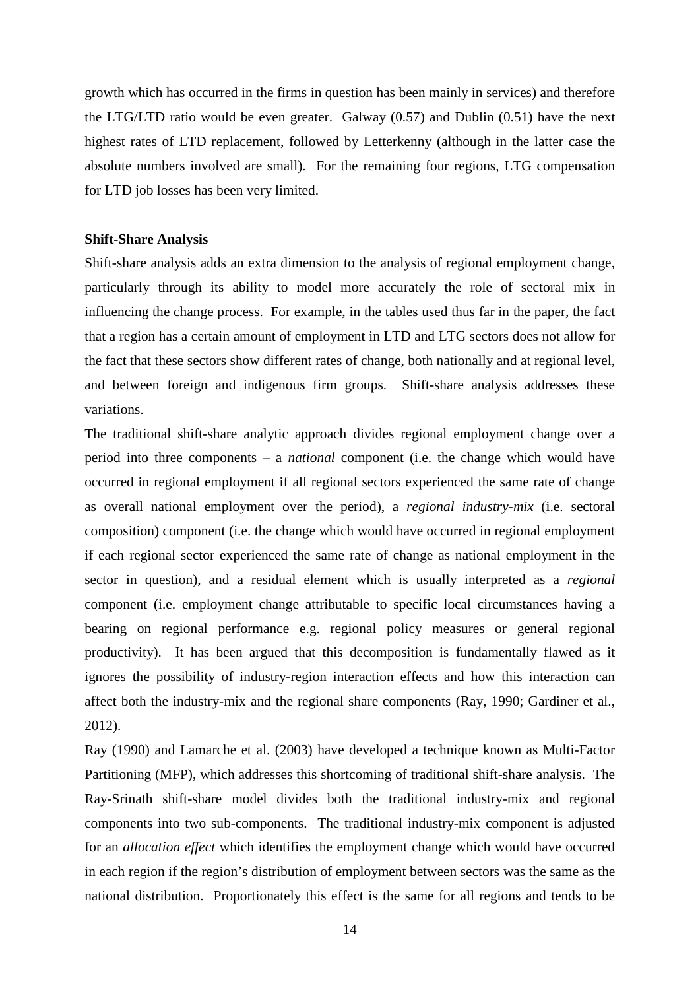growth which has occurred in the firms in question has been mainly in services) and therefore the LTG/LTD ratio would be even greater. Galway (0.57) and Dublin (0.51) have the next highest rates of LTD replacement, followed by Letterkenny (although in the latter case the absolute numbers involved are small). For the remaining four regions, LTG compensation for LTD job losses has been very limited.

#### **Shift-Share Analysis**

Shift-share analysis adds an extra dimension to the analysis of regional employment change, particularly through its ability to model more accurately the role of sectoral mix in influencing the change process. For example, in the tables used thus far in the paper, the fact that a region has a certain amount of employment in LTD and LTG sectors does not allow for the fact that these sectors show different rates of change, both nationally and at regional level, and between foreign and indigenous firm groups. Shift-share analysis addresses these variations.

The traditional shift-share analytic approach divides regional employment change over a period into three components – a *national* component (i.e. the change which would have occurred in regional employment if all regional sectors experienced the same rate of change as overall national employment over the period), a *regional industry-mix* (i.e. sectoral composition) component (i.e. the change which would have occurred in regional employment if each regional sector experienced the same rate of change as national employment in the sector in question), and a residual element which is usually interpreted as a *regional* component (i.e. employment change attributable to specific local circumstances having a bearing on regional performance e.g. regional policy measures or general regional productivity). It has been argued that this decomposition is fundamentally flawed as it ignores the possibility of industry-region interaction effects and how this interaction can affect both the industry-mix and the regional share components (Ray, 1990; Gardiner et al., 2012).

Ray (1990) and Lamarche et al. (2003) have developed a technique known as Multi-Factor Partitioning (MFP), which addresses this shortcoming of traditional shift-share analysis. The Ray-Srinath shift-share model divides both the traditional industry-mix and regional components into two sub-components. The traditional industry-mix component is adjusted for an *allocation effect* which identifies the employment change which would have occurred in each region if the region's distribution of employment between sectors was the same as the national distribution. Proportionately this effect is the same for all regions and tends to be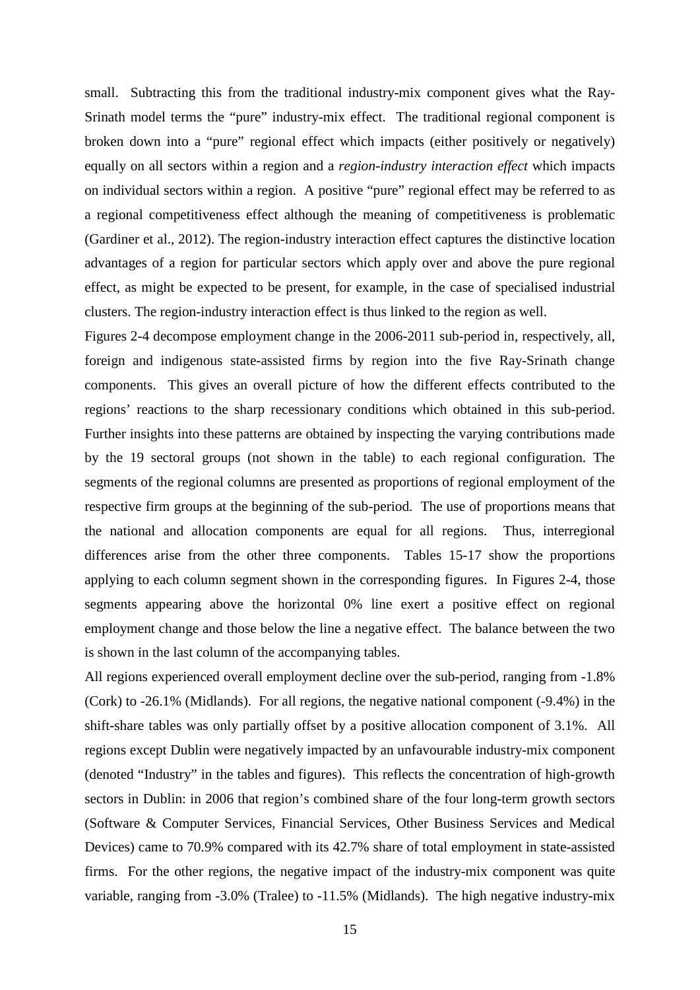small. Subtracting this from the traditional industry-mix component gives what the Ray-Srinath model terms the "pure" industry-mix effect. The traditional regional component is broken down into a "pure" regional effect which impacts (either positively or negatively) equally on all sectors within a region and a *region-industry interaction effect* which impacts on individual sectors within a region. A positive "pure" regional effect may be referred to as a regional competitiveness effect although the meaning of competitiveness is problematic (Gardiner et al., 2012). The region-industry interaction effect captures the distinctive location advantages of a region for particular sectors which apply over and above the pure regional effect, as might be expected to be present, for example, in the case of specialised industrial clusters. The region-industry interaction effect is thus linked to the region as well.

Figures 2-4 decompose employment change in the 2006-2011 sub-period in, respectively, all, foreign and indigenous state-assisted firms by region into the five Ray-Srinath change components. This gives an overall picture of how the different effects contributed to the regions' reactions to the sharp recessionary conditions which obtained in this sub-period. Further insights into these patterns are obtained by inspecting the varying contributions made by the 19 sectoral groups (not shown in the table) to each regional configuration. The segments of the regional columns are presented as proportions of regional employment of the respective firm groups at the beginning of the sub-period. The use of proportions means that the national and allocation components are equal for all regions. Thus, interregional differences arise from the other three components. Tables 15-17 show the proportions applying to each column segment shown in the corresponding figures. In Figures 2-4, those segments appearing above the horizontal 0% line exert a positive effect on regional employment change and those below the line a negative effect. The balance between the two is shown in the last column of the accompanying tables.

All regions experienced overall employment decline over the sub-period, ranging from -1.8% (Cork) to -26.1% (Midlands). For all regions, the negative national component (-9.4%) in the shift-share tables was only partially offset by a positive allocation component of 3.1%. All regions except Dublin were negatively impacted by an unfavourable industry-mix component (denoted "Industry" in the tables and figures). This reflects the concentration of high-growth sectors in Dublin: in 2006 that region's combined share of the four long-term growth sectors (Software & Computer Services, Financial Services, Other Business Services and Medical Devices) came to 70.9% compared with its 42.7% share of total employment in state-assisted firms. For the other regions, the negative impact of the industry-mix component was quite variable, ranging from -3.0% (Tralee) to -11.5% (Midlands). The high negative industry-mix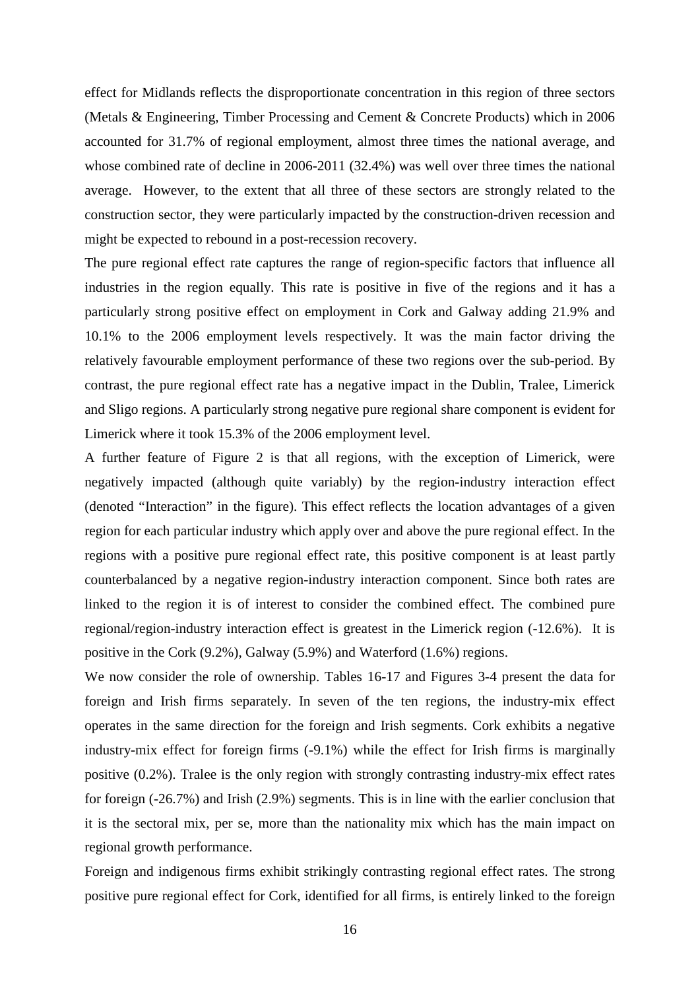effect for Midlands reflects the disproportionate concentration in this region of three sectors (Metals & Engineering, Timber Processing and Cement & Concrete Products) which in 2006 accounted for 31.7% of regional employment, almost three times the national average, and whose combined rate of decline in 2006-2011 (32.4%) was well over three times the national average. However, to the extent that all three of these sectors are strongly related to the construction sector, they were particularly impacted by the construction-driven recession and might be expected to rebound in a post-recession recovery.

The pure regional effect rate captures the range of region-specific factors that influence all industries in the region equally. This rate is positive in five of the regions and it has a particularly strong positive effect on employment in Cork and Galway adding 21.9% and 10.1% to the 2006 employment levels respectively. It was the main factor driving the relatively favourable employment performance of these two regions over the sub-period. By contrast, the pure regional effect rate has a negative impact in the Dublin, Tralee, Limerick and Sligo regions. A particularly strong negative pure regional share component is evident for Limerick where it took 15.3% of the 2006 employment level.

A further feature of Figure 2 is that all regions, with the exception of Limerick, were negatively impacted (although quite variably) by the region-industry interaction effect (denoted "Interaction" in the figure). This effect reflects the location advantages of a given region for each particular industry which apply over and above the pure regional effect. In the regions with a positive pure regional effect rate, this positive component is at least partly counterbalanced by a negative region-industry interaction component. Since both rates are linked to the region it is of interest to consider the combined effect. The combined pure regional/region-industry interaction effect is greatest in the Limerick region (-12.6%). It is positive in the Cork (9.2%), Galway (5.9%) and Waterford (1.6%) regions.

We now consider the role of ownership. Tables 16-17 and Figures 3-4 present the data for foreign and Irish firms separately. In seven of the ten regions, the industry-mix effect operates in the same direction for the foreign and Irish segments. Cork exhibits a negative industry-mix effect for foreign firms (-9.1%) while the effect for Irish firms is marginally positive (0.2%). Tralee is the only region with strongly contrasting industry-mix effect rates for foreign (-26.7%) and Irish (2.9%) segments. This is in line with the earlier conclusion that it is the sectoral mix, per se, more than the nationality mix which has the main impact on regional growth performance.

Foreign and indigenous firms exhibit strikingly contrasting regional effect rates. The strong positive pure regional effect for Cork, identified for all firms, is entirely linked to the foreign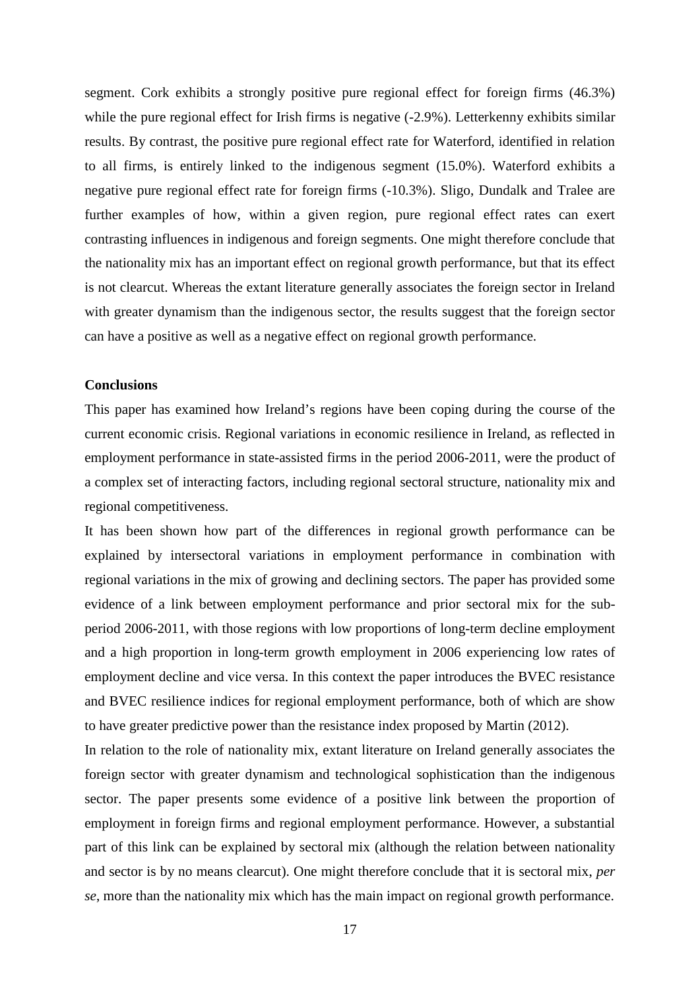segment. Cork exhibits a strongly positive pure regional effect for foreign firms (46.3%) while the pure regional effect for Irish firms is negative  $(-2.9\%)$ . Letterkenny exhibits similar results. By contrast, the positive pure regional effect rate for Waterford, identified in relation to all firms, is entirely linked to the indigenous segment (15.0%). Waterford exhibits a negative pure regional effect rate for foreign firms (-10.3%). Sligo, Dundalk and Tralee are further examples of how, within a given region, pure regional effect rates can exert contrasting influences in indigenous and foreign segments. One might therefore conclude that the nationality mix has an important effect on regional growth performance, but that its effect is not clearcut. Whereas the extant literature generally associates the foreign sector in Ireland with greater dynamism than the indigenous sector, the results suggest that the foreign sector can have a positive as well as a negative effect on regional growth performance.

# **Conclusions**

This paper has examined how Ireland's regions have been coping during the course of the current economic crisis. Regional variations in economic resilience in Ireland, as reflected in employment performance in state-assisted firms in the period 2006-2011, were the product of a complex set of interacting factors, including regional sectoral structure, nationality mix and regional competitiveness.

It has been shown how part of the differences in regional growth performance can be explained by intersectoral variations in employment performance in combination with regional variations in the mix of growing and declining sectors. The paper has provided some evidence of a link between employment performance and prior sectoral mix for the subperiod 2006-2011, with those regions with low proportions of long-term decline employment and a high proportion in long-term growth employment in 2006 experiencing low rates of employment decline and vice versa. In this context the paper introduces the BVEC resistance and BVEC resilience indices for regional employment performance, both of which are show to have greater predictive power than the resistance index proposed by Martin (2012).

In relation to the role of nationality mix, extant literature on Ireland generally associates the foreign sector with greater dynamism and technological sophistication than the indigenous sector. The paper presents some evidence of a positive link between the proportion of employment in foreign firms and regional employment performance. However, a substantial part of this link can be explained by sectoral mix (although the relation between nationality and sector is by no means clearcut). One might therefore conclude that it is sectoral mix, *per se*, more than the nationality mix which has the main impact on regional growth performance.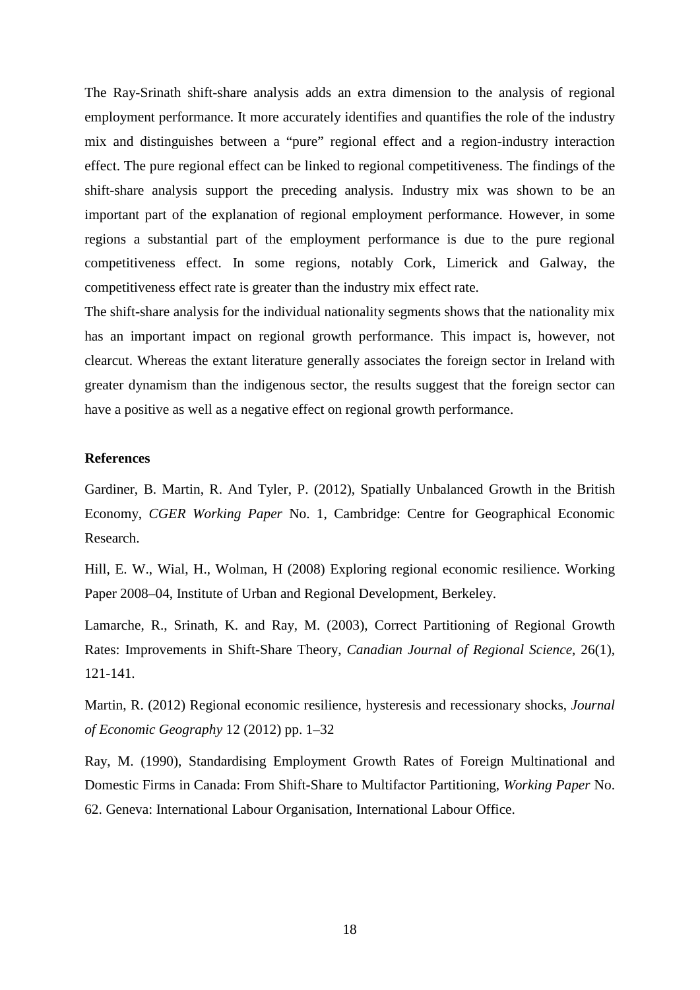The Ray-Srinath shift-share analysis adds an extra dimension to the analysis of regional employment performance. It more accurately identifies and quantifies the role of the industry mix and distinguishes between a "pure" regional effect and a region-industry interaction effect. The pure regional effect can be linked to regional competitiveness. The findings of the shift-share analysis support the preceding analysis. Industry mix was shown to be an important part of the explanation of regional employment performance. However, in some regions a substantial part of the employment performance is due to the pure regional competitiveness effect. In some regions, notably Cork, Limerick and Galway, the competitiveness effect rate is greater than the industry mix effect rate.

The shift-share analysis for the individual nationality segments shows that the nationality mix has an important impact on regional growth performance. This impact is, however, not clearcut. Whereas the extant literature generally associates the foreign sector in Ireland with greater dynamism than the indigenous sector, the results suggest that the foreign sector can have a positive as well as a negative effect on regional growth performance.

## **References**

Gardiner, B. Martin, R. And Tyler, P. (2012), Spatially Unbalanced Growth in the British Economy, *CGER Working Paper* No. 1, Cambridge: Centre for Geographical Economic Research.

Hill, E. W., Wial, H., Wolman, H (2008) Exploring regional economic resilience. Working Paper 2008–04, Institute of Urban and Regional Development, Berkeley.

Lamarche, R., Srinath, K. and Ray, M. (2003), Correct Partitioning of Regional Growth Rates: Improvements in Shift-Share Theory, *Canadian Journal of Regional Science*, 26(1), 121-141.

Martin, R. (2012) Regional economic resilience, hysteresis and recessionary shocks, *Journal of Economic Geography* 12 (2012) pp. 1–32

Ray, M. (1990), Standardising Employment Growth Rates of Foreign Multinational and Domestic Firms in Canada: From Shift-Share to Multifactor Partitioning, *Working Paper* No. 62. Geneva: International Labour Organisation, International Labour Office.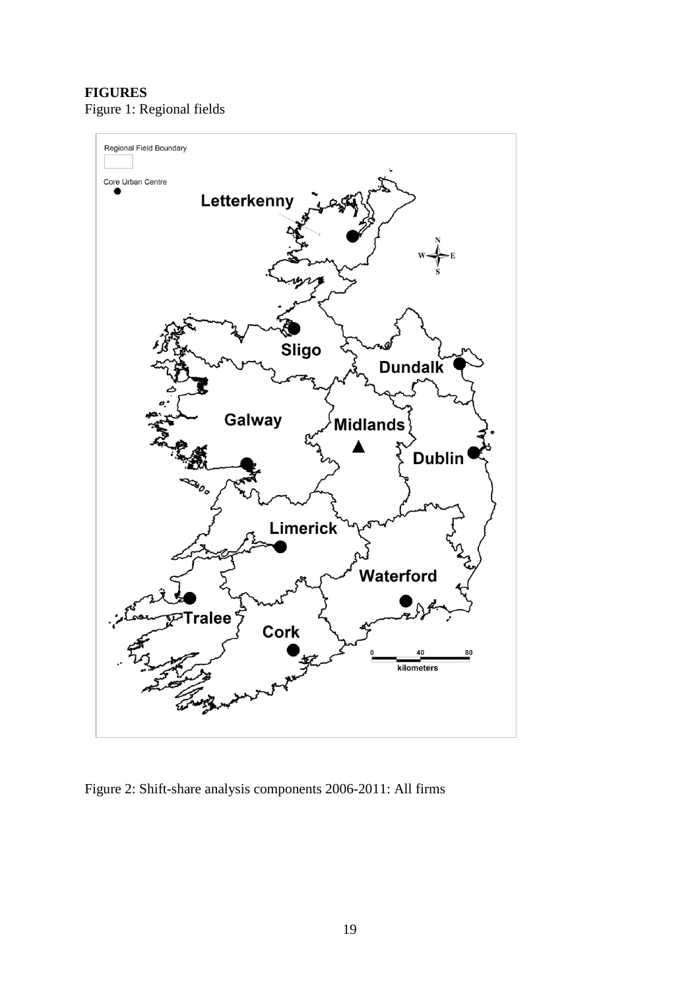# **FIGURES** Figure 1: Regional fields



Figure 2: Shift-share analysis components 2006-2011: All firms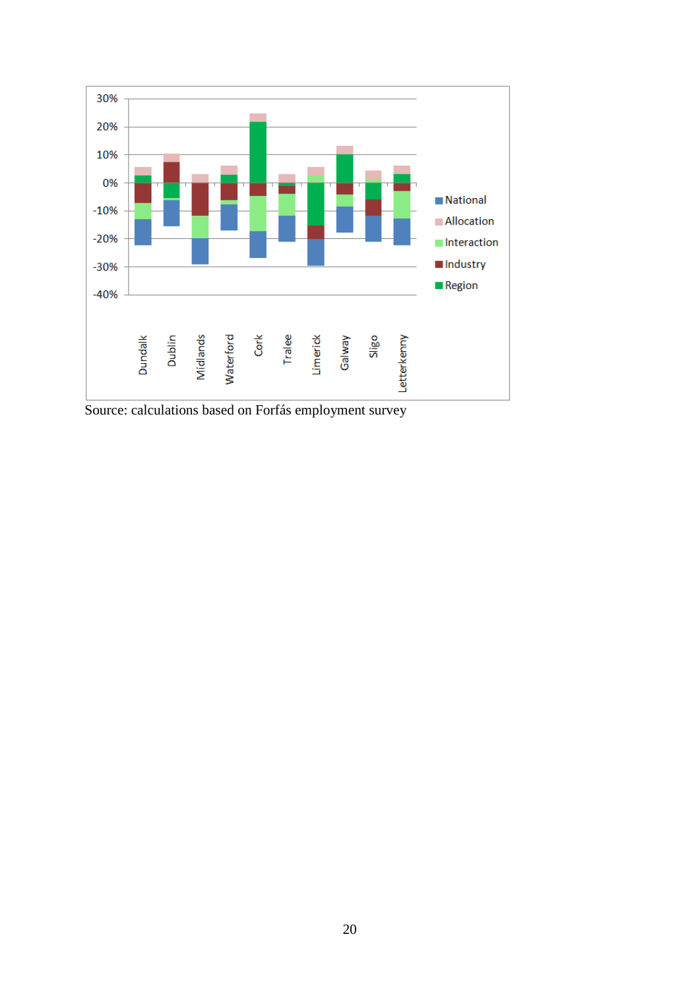

Source: calculations based on Forfás employment survey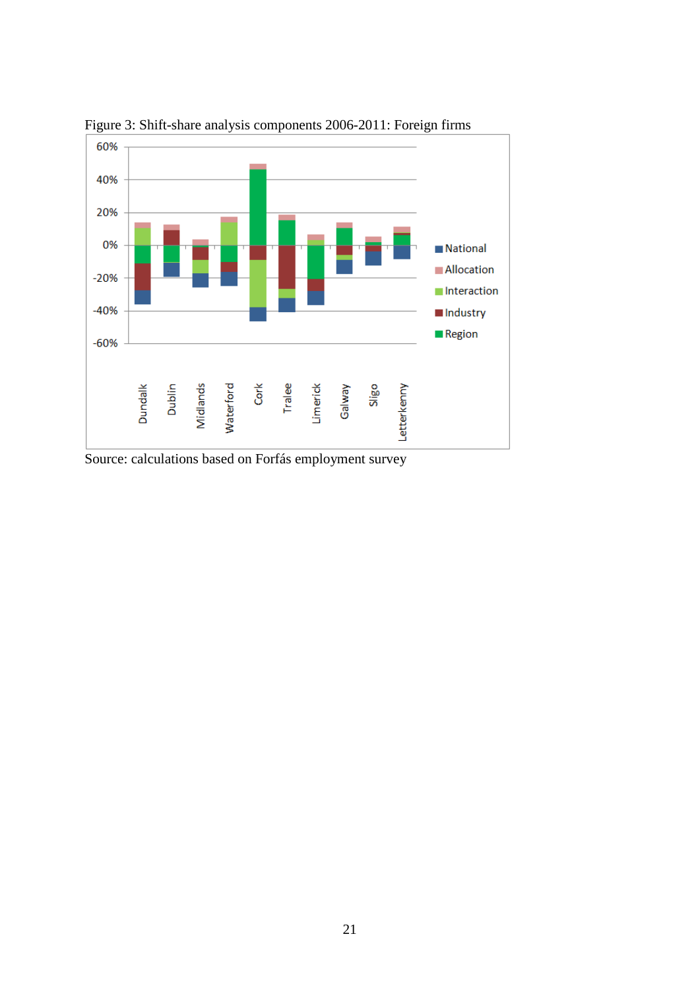

Figure 3: Shift-share analysis components 2006-2011: Foreign firms

Source: calculations based on Forfás employment survey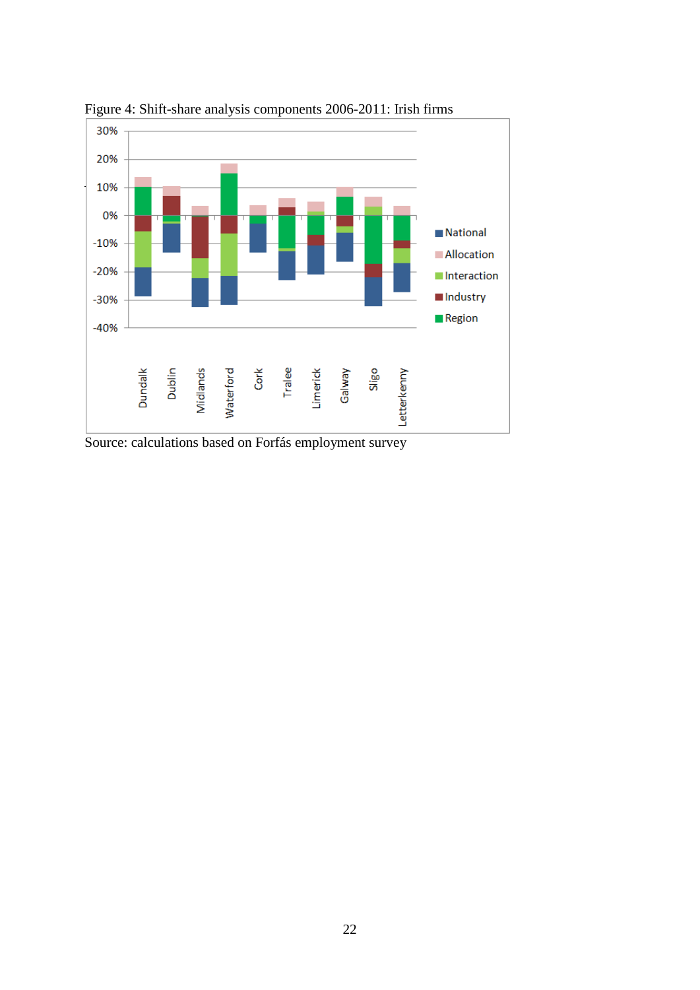

Figure 4: Shift-share analysis components 2006-2011: Irish firms

Source: calculations based on Forfás employment survey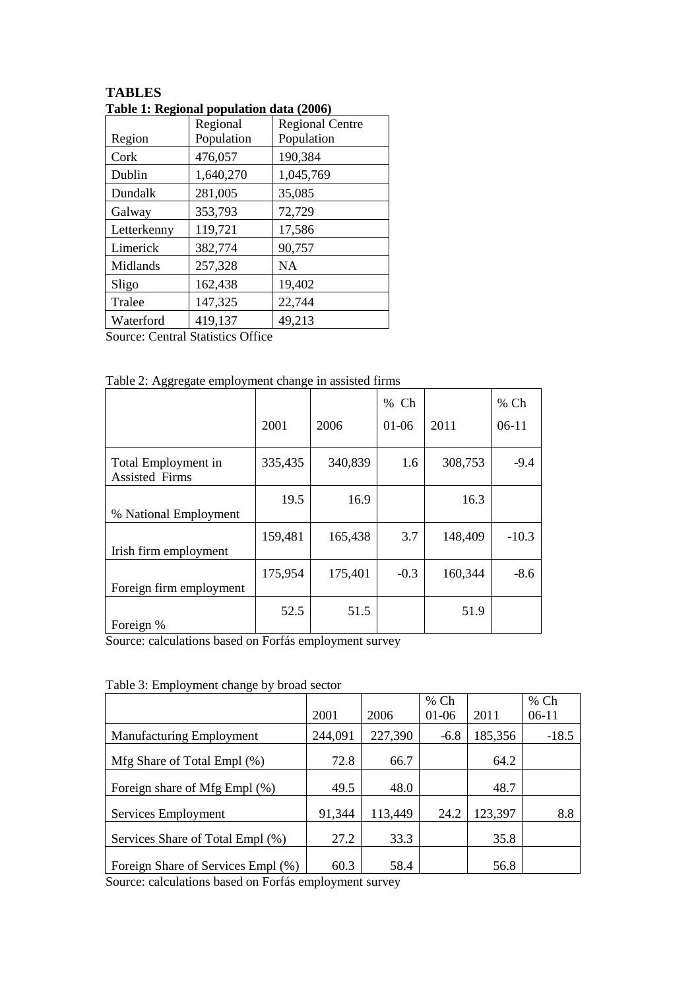|             | Regional   | <b>Regional Centre</b> |
|-------------|------------|------------------------|
| Region      | Population | Population             |
| Cork        | 476,057    | 190,384                |
| Dublin      | 1,640,270  | 1,045,769              |
| Dundalk     | 281,005    | 35,085                 |
| Galway      | 353,793    | 72,729                 |
| Letterkenny | 119,721    | 17,586                 |
| Limerick    | 382,774    | 90,757                 |
| Midlands    | 257,328    | <b>NA</b>              |
| Sligo       | 162,438    | 19,402                 |
| Tralee      | 147,325    | 22,744                 |
| Waterford   | 419,137    | 49,213                 |

**TABLES Table 1: Regional population data (2006)**

Source: Central Statistics Office

Table 2: Aggregate employment change in assisted firms

|                                              |         |         | % Ch    |         | % Ch    |
|----------------------------------------------|---------|---------|---------|---------|---------|
|                                              | 2001    | 2006    | $01-06$ | 2011    | $06-11$ |
| Total Employment in<br><b>Assisted Firms</b> | 335,435 | 340,839 | 1.6     | 308,753 | $-9.4$  |
| % National Employment                        | 19.5    | 16.9    |         | 16.3    |         |
| Irish firm employment                        | 159,481 | 165,438 | 3.7     | 148,409 | $-10.3$ |
| Foreign firm employment                      | 175,954 | 175,401 | $-0.3$  | 160,344 | $-8.6$  |
| Foreign %                                    | 52.5    | 51.5    |         | 51.9    |         |

Source: calculations based on Forfás employment survey

|  | Table 3: Employment change by broad sector |  |  |
|--|--------------------------------------------|--|--|
|  |                                            |  |  |

|                                    | 2001    | 2006    | $%$ Ch<br>01-06 | 2011    | $%$ Ch<br>$06-11$ |
|------------------------------------|---------|---------|-----------------|---------|-------------------|
|                                    |         |         |                 |         |                   |
| <b>Manufacturing Employment</b>    | 244,091 | 227,390 | $-6.8$          | 185,356 | $-18.5$           |
| Mfg Share of Total Empl (%)        | 72.8    | 66.7    |                 | 64.2    |                   |
| Foreign share of Mfg Empl (%)      | 49.5    | 48.0    |                 | 48.7    |                   |
| Services Employment                | 91,344  | 113,449 | 24.2            | 123,397 | 8.8               |
| Services Share of Total Empl (%)   | 27.2    | 33.3    |                 | 35.8    |                   |
| Foreign Share of Services Empl (%) | 60.3    | 58.4    |                 | 56.8    |                   |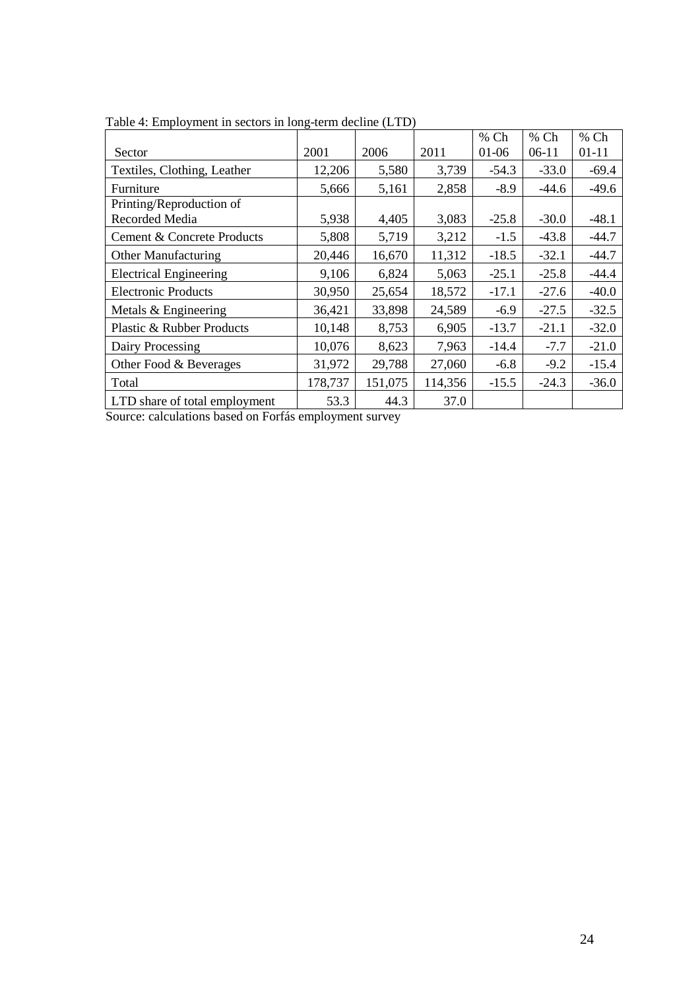| raone is $\epsilon$ in programme in sectors in roll, term accurity ( $\epsilon$ 11D) |         |         |         | $%$ Ch  | $%$ Ch  | % Ch      |
|--------------------------------------------------------------------------------------|---------|---------|---------|---------|---------|-----------|
|                                                                                      |         |         |         |         |         |           |
| Sector                                                                               | 2001    | 2006    | 2011    | $01-06$ | $06-11$ | $01 - 11$ |
| Textiles, Clothing, Leather                                                          | 12,206  | 5,580   | 3,739   | $-54.3$ | $-33.0$ | $-69.4$   |
| Furniture                                                                            | 5,666   | 5,161   | 2,858   | $-8.9$  | $-44.6$ | $-49.6$   |
| Printing/Reproduction of                                                             |         |         |         |         |         |           |
| Recorded Media                                                                       | 5,938   | 4,405   | 3,083   | $-25.8$ | $-30.0$ | $-48.1$   |
| Cement & Concrete Products                                                           | 5,808   | 5,719   | 3,212   | $-1.5$  | $-43.8$ | $-44.7$   |
| <b>Other Manufacturing</b>                                                           | 20,446  | 16,670  | 11,312  | $-18.5$ | $-32.1$ | $-44.7$   |
| <b>Electrical Engineering</b>                                                        | 9,106   | 6,824   | 5,063   | $-25.1$ | $-25.8$ | $-44.4$   |
| <b>Electronic Products</b>                                                           | 30,950  | 25,654  | 18,572  | $-17.1$ | $-27.6$ | $-40.0$   |
| Metals & Engineering                                                                 | 36,421  | 33,898  | 24,589  | $-6.9$  | $-27.5$ | $-32.5$   |
| Plastic & Rubber Products                                                            | 10,148  | 8,753   | 6,905   | $-13.7$ | $-21.1$ | $-32.0$   |
| Dairy Processing                                                                     | 10,076  | 8,623   | 7,963   | $-14.4$ | $-7.7$  | $-21.0$   |
| Other Food & Beverages                                                               | 31,972  | 29,788  | 27,060  | $-6.8$  | $-9.2$  | $-15.4$   |
| Total                                                                                | 178,737 | 151,075 | 114,356 | $-15.5$ | $-24.3$ | $-36.0$   |
| LTD share of total employment                                                        | 53.3    | 44.3    | 37.0    |         |         |           |

Table 4: Employment in sectors in long-term decline (LTD)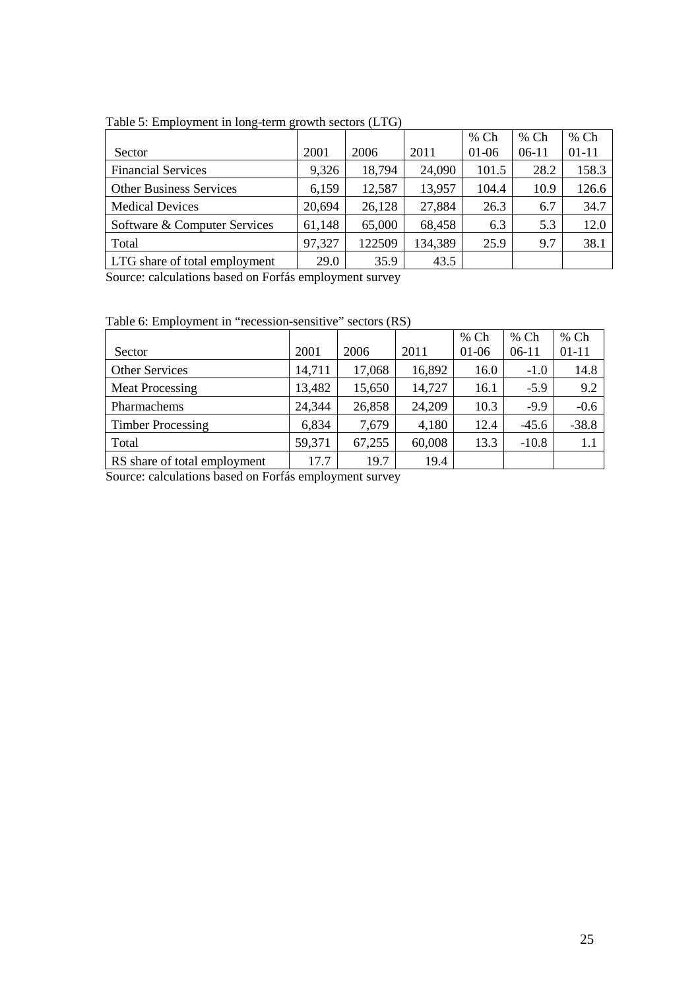|                                |        |        |         | $%$ Ch  | $%$ Ch  | $%$ Ch    |
|--------------------------------|--------|--------|---------|---------|---------|-----------|
| Sector                         | 2001   | 2006   | 2011    | $01-06$ | $06-11$ | $01 - 11$ |
| <b>Financial Services</b>      | 9,326  | 18,794 | 24,090  | 101.5   | 28.2    | 158.3     |
| <b>Other Business Services</b> | 6,159  | 12,587 | 13,957  | 104.4   | 10.9    | 126.6     |
| <b>Medical Devices</b>         | 20,694 | 26,128 | 27,884  | 26.3    | 6.7     | 34.7      |
| Software & Computer Services   | 61,148 | 65,000 | 68,458  | 6.3     | 5.3     | 12.0      |
| Total                          | 97,327 | 122509 | 134,389 | 25.9    | 9.7     | 38.1      |
| LTG share of total employment  | 29.0   | 35.9   | 43.5    |         |         |           |

Table 5: Employment in long-term growth sectors (LTG)

Table 6: Employment in "recession-sensitive" sectors (RS)

|                              |        |        |        | % Ch    | $%$ Ch  | % Ch      |
|------------------------------|--------|--------|--------|---------|---------|-----------|
| Sector                       | 2001   | 2006   | 2011   | $01-06$ | $06-11$ | $01 - 11$ |
| <b>Other Services</b>        | 14,711 | 17,068 | 16,892 | 16.0    | $-1.0$  | 14.8      |
| <b>Meat Processing</b>       | 13,482 | 15,650 | 14,727 | 16.1    | $-5.9$  | 9.2       |
| Pharmachems                  | 24,344 | 26,858 | 24,209 | 10.3    | $-9.9$  | $-0.6$    |
| <b>Timber Processing</b>     | 6,834  | 7,679  | 4,180  | 12.4    | $-45.6$ | $-38.8$   |
| Total                        | 59,371 | 67,255 | 60,008 | 13.3    | $-10.8$ | 1.1       |
| RS share of total employment | 17.7   | 19.7   | 19.4   |         |         |           |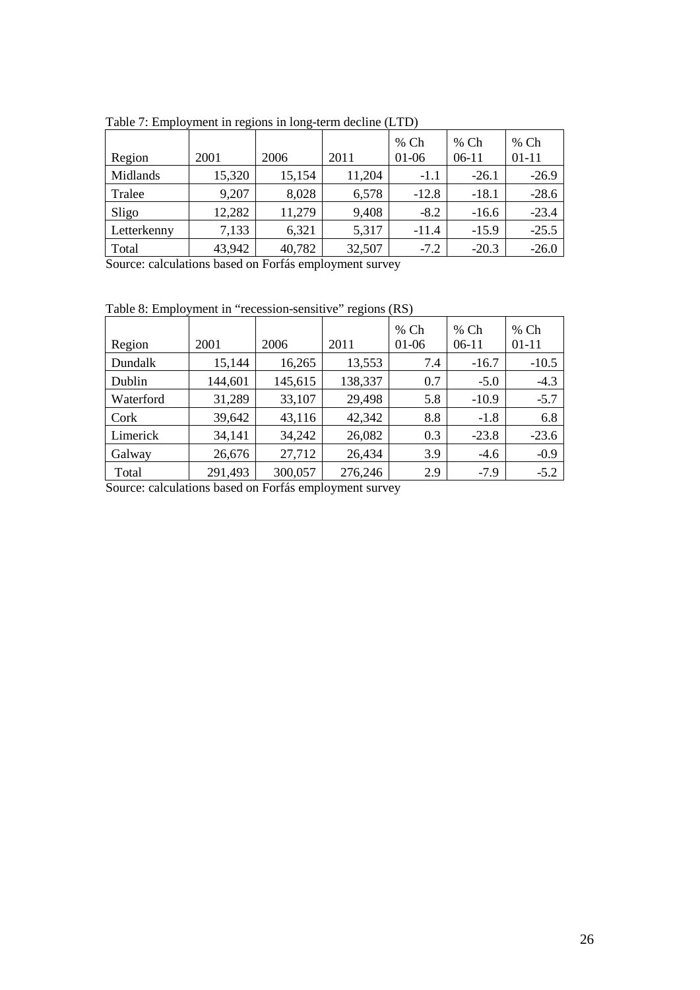| Region      | 2001   | 2006   | 2011   | % Ch<br>$01-06$ | % Ch<br>$06-11$ | $%$ Ch<br>$01-11$ |
|-------------|--------|--------|--------|-----------------|-----------------|-------------------|
| Midlands    | 15,320 | 15,154 | 11,204 | $-1.1$          | $-26.1$         | $-26.9$           |
| Tralee      | 9,207  | 8,028  | 6,578  | $-12.8$         | $-18.1$         | $-28.6$           |
| Sligo       | 12,282 | 11,279 | 9,408  | $-8.2$          | $-16.6$         | $-23.4$           |
| Letterkenny | 7,133  | 6,321  | 5,317  | $-11.4$         | $-15.9$         | $-25.5$           |
| Total       | 43,942 | 40,782 | 32,507 | $-7.2$          | $-20.3$         | $-26.0$           |

Table 7: Employment in regions in long-term decline (LTD)

Table 8: Employment in "recession-sensitive" regions (RS)

|           |         |         |         | $%$ Ch  | $%$ Ch  | $%$ Ch  |
|-----------|---------|---------|---------|---------|---------|---------|
| Region    | 2001    | 2006    | 2011    | $01-06$ | $06-11$ | $01-11$ |
| Dundalk   | 15,144  | 16,265  | 13,553  | 7.4     | $-16.7$ | $-10.5$ |
| Dublin    | 144,601 | 145,615 | 138,337 | 0.7     | $-5.0$  | $-4.3$  |
| Waterford | 31,289  | 33,107  | 29,498  | 5.8     | $-10.9$ | $-5.7$  |
| Cork      | 39,642  | 43,116  | 42,342  | 8.8     | $-1.8$  | 6.8     |
| Limerick  | 34,141  | 34,242  | 26,082  | 0.3     | $-23.8$ | $-23.6$ |
| Galway    | 26,676  | 27,712  | 26,434  | 3.9     | $-4.6$  | $-0.9$  |
| Total     | 291,493 | 300,057 | 276,246 | 2.9     | $-7.9$  | $-5.2$  |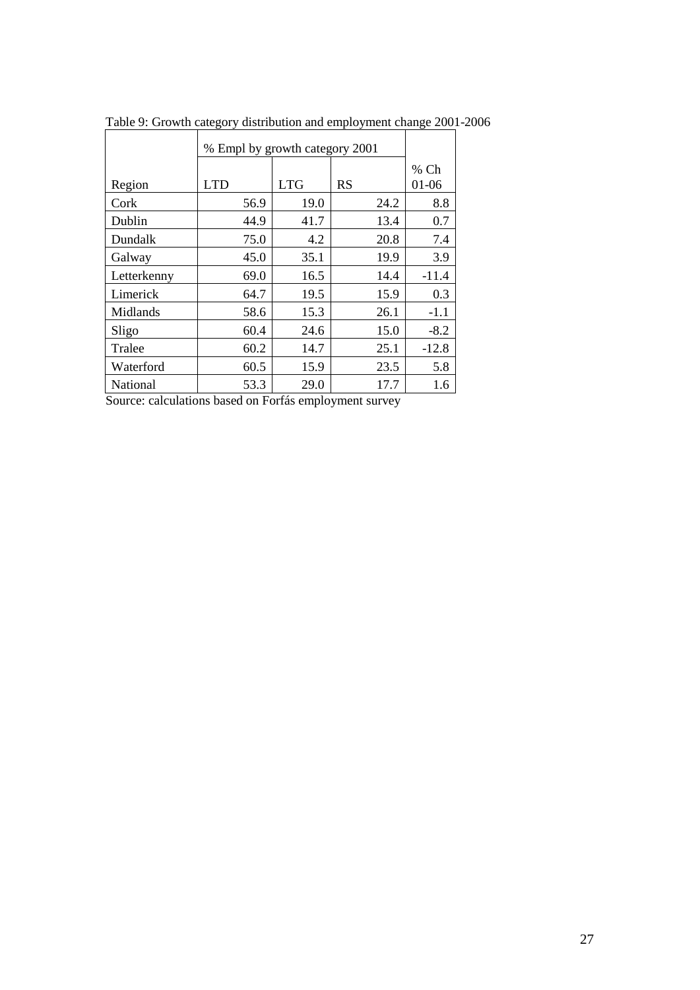|             | % Empl by growth category 2001 |            |           |         |
|-------------|--------------------------------|------------|-----------|---------|
|             |                                |            |           | $%$ Ch  |
| Region      | <b>LTD</b>                     | <b>LTG</b> | <b>RS</b> | 01-06   |
| Cork        | 56.9                           | 19.0       | 24.2      | 8.8     |
| Dublin      | 44.9                           | 41.7       | 13.4      | 0.7     |
| Dundalk     | 75.0                           | 4.2        | 20.8      | 7.4     |
| Galway      | 45.0                           | 35.1       | 19.9      | 3.9     |
| Letterkenny | 69.0                           | 16.5       | 14.4      | $-11.4$ |
| Limerick    | 64.7                           | 19.5       | 15.9      | 0.3     |
| Midlands    | 58.6                           | 15.3       | 26.1      | $-1.1$  |
| Sligo       | 60.4                           | 24.6       | 15.0      | $-8.2$  |
| Tralee      | 60.2                           | 14.7       | 25.1      | $-12.8$ |
| Waterford   | 60.5                           | 15.9       | 23.5      | 5.8     |
| National    | 53.3                           | 29.0       | 17.7      | 1.6     |

Table 9: Growth category distribution and employment change 2001-2006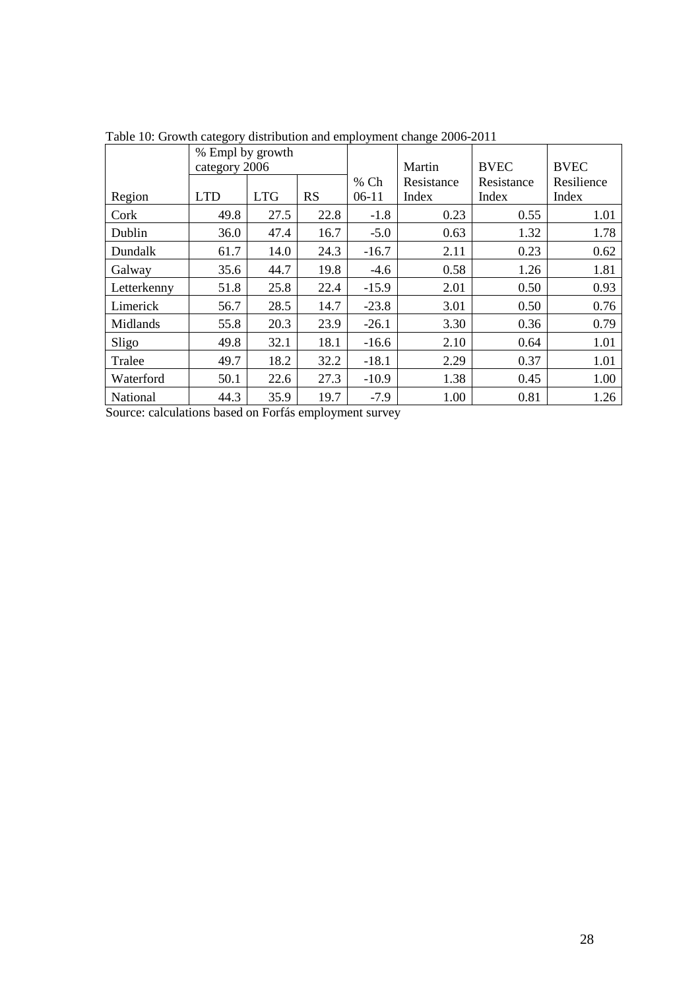| racio To. Stowan ealegory abditionion and employment enange 2000 2011 | % Empl by growth<br>category 2006 |            |           |                   | Martin              | <b>BVEC</b>         | <b>BVEC</b>         |
|-----------------------------------------------------------------------|-----------------------------------|------------|-----------|-------------------|---------------------|---------------------|---------------------|
| Region                                                                | <b>LTD</b>                        | <b>LTG</b> | <b>RS</b> | $%$ Ch<br>$06-11$ | Resistance<br>Index | Resistance<br>Index | Resilience<br>Index |
| Cork                                                                  | 49.8                              | 27.5       | 22.8      | $-1.8$            | 0.23                | 0.55                | 1.01                |
| Dublin                                                                | 36.0                              | 47.4       | 16.7      | $-5.0$            | 0.63                | 1.32                | 1.78                |
| Dundalk                                                               | 61.7                              | 14.0       | 24.3      | $-16.7$           | 2.11                | 0.23                | 0.62                |
| Galway                                                                | 35.6                              | 44.7       | 19.8      | $-4.6$            | 0.58                | 1.26                | 1.81                |
| Letterkenny                                                           | 51.8                              | 25.8       | 22.4      | $-15.9$           | 2.01                | 0.50                | 0.93                |
| Limerick                                                              | 56.7                              | 28.5       | 14.7      | $-23.8$           | 3.01                | 0.50                | 0.76                |
| Midlands                                                              | 55.8                              | 20.3       | 23.9      | $-26.1$           | 3.30                | 0.36                | 0.79                |
| Sligo                                                                 | 49.8                              | 32.1       | 18.1      | $-16.6$           | 2.10                | 0.64                | 1.01                |
| Tralee                                                                | 49.7                              | 18.2       | 32.2      | $-18.1$           | 2.29                | 0.37                | 1.01                |
| Waterford                                                             | 50.1                              | 22.6       | 27.3      | $-10.9$           | 1.38                | 0.45                | 1.00                |
| National                                                              | 44.3                              | 35.9       | 19.7      | $-7.9$            | 1.00                | 0.81                | 1.26                |

Table 10: Growth category distribution and employment change 2006-2011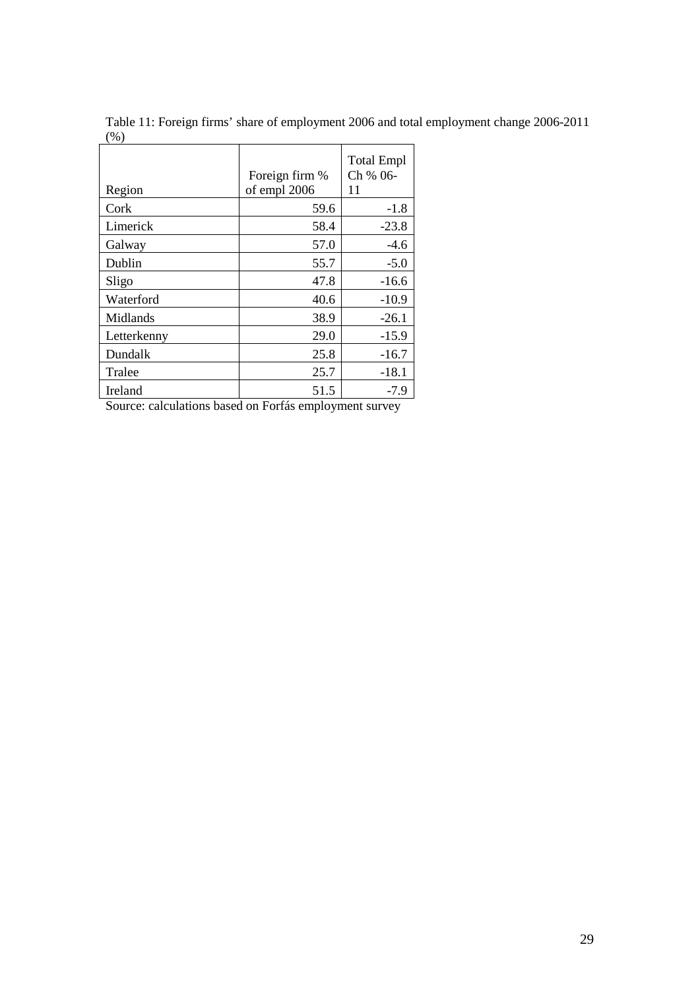| (* )        |                                |                                     |
|-------------|--------------------------------|-------------------------------------|
| Region      | Foreign firm %<br>of empl 2006 | <b>Total Empl</b><br>Ch % 06-<br>11 |
| Cork        | 59.6                           | $-1.8$                              |
| Limerick    | 58.4                           | $-23.8$                             |
| Galway      | 57.0                           | $-4.6$                              |
| Dublin      | 55.7                           | $-5.0$                              |
| Sligo       | 47.8                           | $-16.6$                             |
| Waterford   | 40.6                           | $-10.9$                             |
| Midlands    | 38.9                           | $-26.1$                             |
| Letterkenny | 29.0                           | $-15.9$                             |
| Dundalk     | 25.8                           | $-16.7$                             |
| Tralee      | 25.7                           | $-18.1$                             |
| Ireland     | 51.5                           | $-7.9$                              |

Table 11: Foreign firms' share of employment 2006 and total employment change 2006-2011 (%)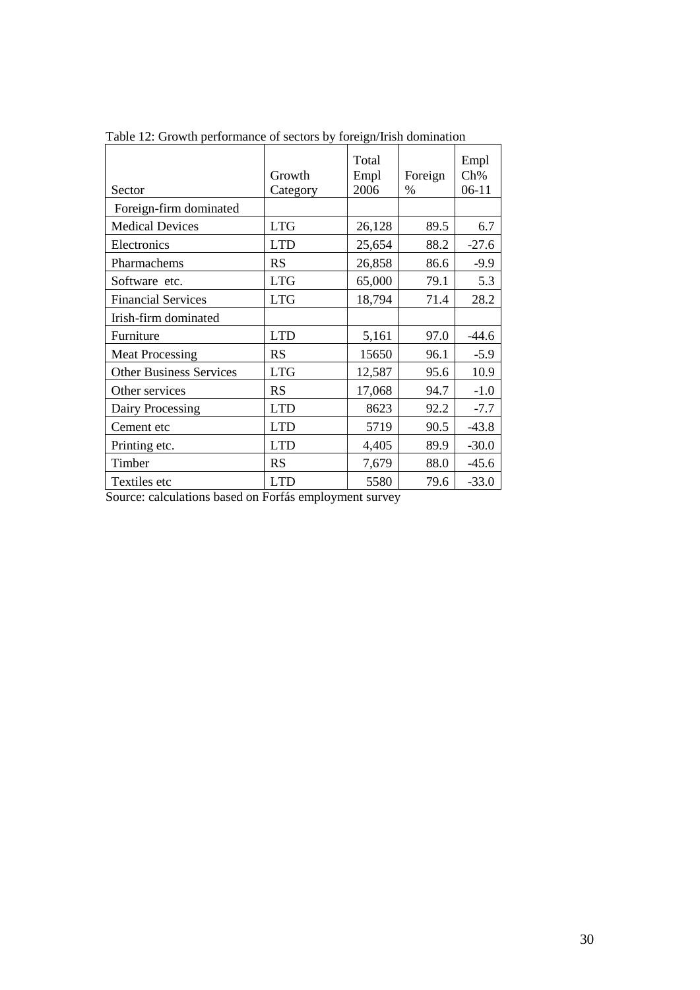| Sector                         | Growth<br>Category | Total<br>Empl<br>2006 | Foreign<br>$\%$ | Empl<br>Ch%<br>$06-11$ |
|--------------------------------|--------------------|-----------------------|-----------------|------------------------|
| Foreign-firm dominated         |                    |                       |                 |                        |
| <b>Medical Devices</b>         | <b>LTG</b>         | 26,128                | 89.5            | 6.7                    |
| Electronics                    | <b>LTD</b>         | 25,654                | 88.2            | $-27.6$                |
| Pharmachems                    | <b>RS</b>          | 26,858                | 86.6            | $-9.9$                 |
| Software etc.                  | <b>LTG</b>         | 65,000                | 79.1            | 5.3                    |
| <b>Financial Services</b>      | <b>LTG</b>         | 18,794                | 71.4            | 28.2                   |
| Irish-firm dominated           |                    |                       |                 |                        |
| Furniture                      | <b>LTD</b>         | 5,161                 | 97.0            | $-44.6$                |
| <b>Meat Processing</b>         | RS                 | 15650                 | 96.1            | $-5.9$                 |
| <b>Other Business Services</b> | <b>LTG</b>         | 12,587                | 95.6            | 10.9                   |
| Other services                 | RS                 | 17,068                | 94.7            | $-1.0$                 |
| Dairy Processing               | <b>LTD</b>         | 8623                  | 92.2            | $-7.7$                 |
| Cement etc                     | <b>LTD</b>         | 5719                  | 90.5            | $-43.8$                |
| Printing etc.                  | <b>LTD</b>         | 4,405                 | 89.9            | $-30.0$                |
| Timber                         | <b>RS</b>          | 7,679                 | 88.0            | $-45.6$                |
| Textiles etc                   | <b>LTD</b>         | 5580                  | 79.6            | $-33.0$                |

Table 12: Growth performance of sectors by foreign/Irish domination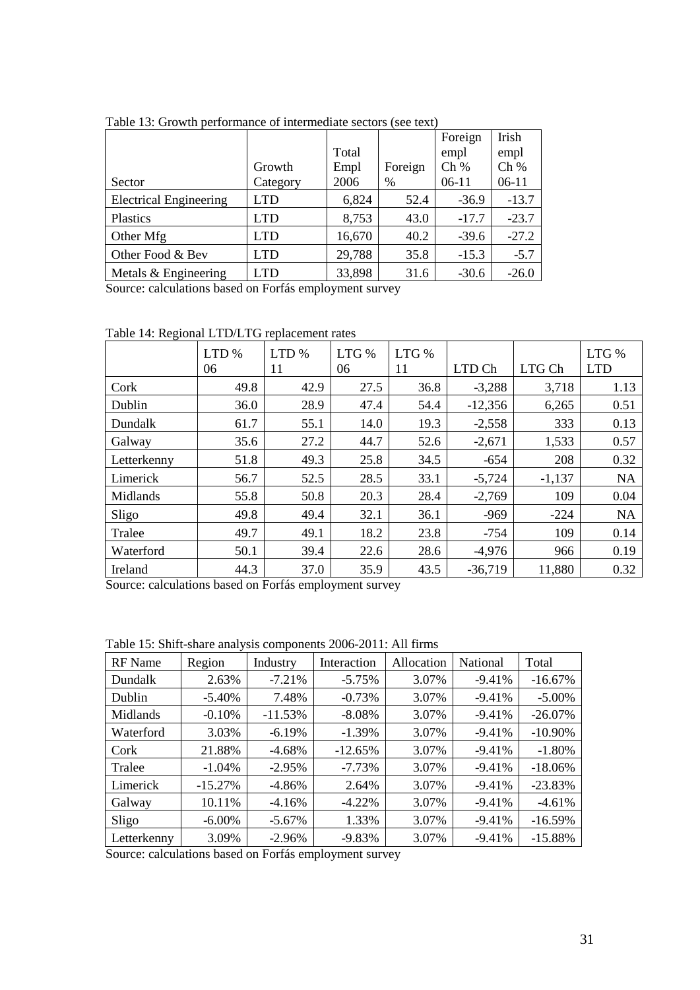|                               |            |        |         | Foreign | Irish   |
|-------------------------------|------------|--------|---------|---------|---------|
|                               |            | Total  |         | empl    | empl    |
|                               | Growth     | Empl   | Foreign | Ch%     | Ch %    |
| Sector                        | Category   | 2006   | %       | $06-11$ | $06-11$ |
| <b>Electrical Engineering</b> | LTD        | 6,824  | 52.4    | $-36.9$ | $-13.7$ |
| Plastics                      | <b>LTD</b> | 8,753  | 43.0    | $-17.7$ | $-23.7$ |
| Other Mfg                     | <b>LTD</b> | 16,670 | 40.2    | $-39.6$ | $-27.2$ |
| Other Food & Bev              | <b>LTD</b> | 29,788 | 35.8    | $-15.3$ | $-5.7$  |
| Metals & Engineering          | LTD        | 33,898 | 31.6    | $-30.6$ | $-26.0$ |

Table 13: Growth performance of intermediate sectors (see text)

|             | LTD%<br>06 | LTD%<br>11 | LTG %<br>06 | LTG %<br>11 | LTD Ch    | LTG Ch   | LTG %<br><b>LTD</b> |
|-------------|------------|------------|-------------|-------------|-----------|----------|---------------------|
|             |            |            |             |             |           |          |                     |
| Cork        | 49.8       | 42.9       | 27.5        | 36.8        | $-3,288$  | 3,718    | 1.13                |
| Dublin      | 36.0       | 28.9       | 47.4        | 54.4        | $-12,356$ | 6,265    | 0.51                |
| Dundalk     | 61.7       | 55.1       | 14.0        | 19.3        | $-2,558$  | 333      | 0.13                |
| Galway      | 35.6       | 27.2       | 44.7        | 52.6        | $-2,671$  | 1,533    | 0.57                |
| Letterkenny | 51.8       | 49.3       | 25.8        | 34.5        | $-654$    | 208      | 0.32                |
| Limerick    | 56.7       | 52.5       | 28.5        | 33.1        | $-5,724$  | $-1,137$ | <b>NA</b>           |
| Midlands    | 55.8       | 50.8       | 20.3        | 28.4        | $-2,769$  | 109      | 0.04                |
| Sligo       | 49.8       | 49.4       | 32.1        | 36.1        | $-969$    | $-224$   | <b>NA</b>           |
| Tralee      | 49.7       | 49.1       | 18.2        | 23.8        | $-754$    | 109      | 0.14                |
| Waterford   | 50.1       | 39.4       | 22.6        | 28.6        | $-4,976$  | 966      | 0.19                |
| Ireland     | 44.3       | 37.0       | 35.9        | 43.5        | $-36,719$ | 11,880   | 0.32                |

Table 14: Regional LTD/LTG replacement rates

Source: calculations based on Forfás employment survey

Table 15: Shift-share analysis components 2006-2011: All firms

| <b>RF</b> Name | Region    | Industry  | Interaction | Allocation | National | Total      |
|----------------|-----------|-----------|-------------|------------|----------|------------|
| Dundalk        | 2.63%     | $-7.21%$  | $-5.75%$    | 3.07%      | $-9.41%$ | $-16.67\%$ |
| Dublin         | $-5.40%$  | 7.48%     | $-0.73%$    | 3.07%      | $-9.41%$ | $-5.00\%$  |
| Midlands       | $-0.10%$  | $-11.53%$ | $-8.08\%$   | 3.07%      | $-9.41%$ | $-26.07%$  |
| Waterford      | 3.03%     | $-6.19%$  | $-1.39%$    | 3.07%      | $-9.41%$ | $-10.90%$  |
| Cork           | 21.88%    | $-4.68%$  | $-12.65%$   | 3.07%      | $-9.41%$ | $-1.80%$   |
| Tralee         | $-1.04%$  | $-2.95%$  | $-7.73%$    | 3.07%      | $-9.41%$ | $-18.06%$  |
| Limerick       | $-15.27%$ | -4.86%    | 2.64%       | 3.07%      | $-9.41%$ | $-23.83%$  |
| Galway         | 10.11%    | $-4.16%$  | $-4.22%$    | 3.07%      | $-9.41%$ | $-4.61%$   |
| Sligo          | $-6.00\%$ | $-5.67\%$ | 1.33%       | 3.07%      | $-9.41%$ | $-16.59%$  |
| Letterkenny    | 3.09%     | $-2.96%$  | $-9.83%$    | 3.07%      | $-9.41%$ | $-15.88%$  |